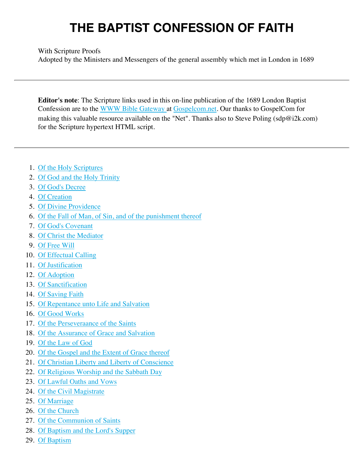# **THE BAPTIST CONFESSION OF FAITH**

<span id="page-0-0"></span>With Scripture Proofs Adopted by the Ministers and Messengers of the general assembly which met in London in 1689

**Editor's note**: The Scripture links used in this on-line publication of the 1689 London Baptist Confession are to the [WWW Bible Gateway](http://www.gospelcom.net/bible/version/) at [Gospelcom.net](http://www.gospelcom.net/). Our thanks to GospelCom for making this valuable resource available on the "Net". Thanks also to Steve Poling (sdp@i2k.com) for the Scripture hypertext HTML script.

- 1. [Of the Holy Scriptures](#page-2-0)
- 2. [Of God and the Holy Trinity](#page-4-0)
- 3. [Of God's Decree](#page-5-0)
- 4. [Of Creation](#page-7-0)
- 5. [Of Divine Providence](#page-8-0)
- 6. [Of the Fall of Man, of Sin, and of the punishment thereof](#page-10-0)
- 7. [Of God's Covenant](#page-11-0)
- 8. [Of Christ the Mediator](#page-12-0)
- 9. [Of Free Will](#page-14-0)
- 10. [Of Effectual Calling](#page-15-0)
- 11. [Of Justification](#page-16-0)
- 12. [Of Adoption](#page-17-0)
- 13. [Of Sanctification](#page-18-0)
- 14. [Of Saving Faith](#page-19-0)
- 15. [Of Repentance unto Life and Salvation](#page-20-0)
- 16. [Of Good Works](#page-21-0)
- 17. [Of the Perseveraance of the Saints](#page-23-0)
- 18. [Of the Assurance of Grace and Salvation](#page-24-0)
- 19. [Of the Law of God](#page-25-0)
- 20. [Of the Gospel and the Extent of Grace thereof](#page-27-0)
- 21. [Of Christian Liberty and Liberty of Conscience](#page-28-0)
- 22. [Of Religious Worship and the Sabbath Day](#page-29-0)
- 23. [Of Lawful Oaths and Vows](#page-31-0)
- 24. [Of the Civil Magistrate](#page-32-0)
- 25. [Of Marriage](#page-33-0)
- 26. [Of the Church](#page-34-0)
- 27. [Of the Communion of Saints](#page-37-0)
- 28. [Of Baptism and the Lord's Supper](#page-38-0)
- 29. [Of Baptism](#page-39-0)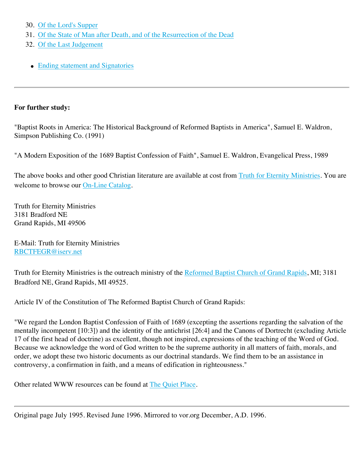30. [Of the Lord's Supper](#page-40-0)

- 31. [Of the State of Man after Death, and of the Resurrection of the Dead](#page-42-0)
- 32. [Of the Last Judgement](#page-43-0)
	- [Ending statement and Signatories](#page-44-0)

#### **For further study:**

"Baptist Roots in America: The Historical Background of Reformed Baptists in America", Samuel E. Waldron, Simpson Publishing Co. (1991)

"A Modern Exposition of the 1689 Baptist Confession of Faith", Samuel E. Waldron, Evangelical Press, 1989

The above books and other good Christian literature are available at cost from [Truth for Eternity Ministries.](http://www.vor.org/truth/index.htm) You are welcome to browse our [On-Line Catalog](http://www.vor.org/truth/95cat/te95ct00.html).

Truth for Eternity Ministries 3181 Bradford NE Grand Rapids, MI 49506

E-Mail: Truth for Eternity Ministries [RBCTFEGR@iserv.net](mailto:RBCTFEGR@iserv.net)

Truth for Eternity Ministries is the outreach ministry of the [Reformed Baptist Church of Grand Rapids](http://www.vor.org/truth/rbc/rbcgrmi.html), MI; 3181 Bradford NE, Grand Rapids, MI 49525.

Article IV of the Constitution of The Reformed Baptist Church of Grand Rapids:

"We regard the London Baptist Confession of Faith of 1689 (excepting the assertions regarding the salvation of the mentally incompetent [10:3]) and the identity of the antichrist [26:4] and the Canons of Dortrecht (excluding Article 17 of the first head of doctrine) as excellent, though not inspired, expressions of the teaching of the Word of God. Because we acknowledge the word of God written to be the supreme authority in all matters of faith, morals, and order, we adopt these two historic documents as our doctrinal standards. We find them to be an assistance in controversy, a confirmation in faith, and a means of edification in righteousness."

Other related WWW resources can be found at [The Quiet Place](http://www.iserv.net/~mrbill/Quiet.html).

Original page July 1995. Revised June 1996. Mirrored to vor.org December, A.D. 1996.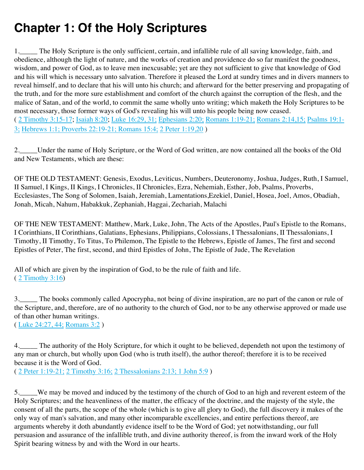# <span id="page-2-0"></span>**Chapter 1: Of the Holy Scriptures**

1. The Holy Scripture is the only sufficient, certain, and infallible rule of all saving knowledge, faith, and obedience, although the light of nature, and the works of creation and providence do so far manifest the goodness, wisdom, and power of God, as to leave men inexcusable; yet are they not sufficient to give that knowledge of God and his will which is necessary unto salvation. Therefore it pleased the Lord at sundry times and in divers manners to reveal himself, and to declare that his will unto his church; and afterward for the better preserving and propagating of the truth, and for the more sure establishment and comfort of the church against the corruption of the flesh, and the malice of Satan, and of the world, to commit the same wholly unto writing; which maketh the Holy Scriptures to be most necessary, those former ways of God's revealing his will unto his people being now ceased. ( [2 Timothy 3:15-17;](http://www.gospelcom.net/bible?language=English&version=NASB&passage=2Timothy+3:15-17) [Isaiah 8:20;](http://www.gospelcom.net/bible?language=English&version=NASB&passage=Isaiah+8:20) [Luke 16:29, 31;](http://www.gospelcom.net/bible?language=English&version=NASB&passage=Luke+16:29-31) [Ephesians 2:20;](http://www.gospelcom.net/bible?language=English&version=NASB&passage=Ephesians)2:20) [Romans 1:19-21;](http://www.gospelcom.net/bible?language=English&version=NASB&passage=Romans+1:19-21) [Romans 2:14,15;](http://www.gospelcom.net/bible?language=English&version=NASB&passage=Romans+2:14-15) [Psalms 19:1-](http://www.gospelcom.net/bible?language=English&version=NASB&passage=Psalms+19:1-3) [3;](http://www.gospelcom.net/bible?language=English&version=NASB&passage=Psalms+19:1-3) [Hebrews 1:1;](http://www.gospelcom.net/bible?language=English&version=NASB&passage=Hebrews+1:1) [Proverbs 22:19-21;](http://www.gospelcom.net/bible?language=English&version=NASB&passage=Proverbs+22:19-21) [Romans 15:4;](http://www.gospelcom.net/bible?language=English&version=NASB&passage=Romans+15:4) [2 Peter 1:19,20](http://www.gospelcom.net/bible?language=English&version=NASB&passage=2Peter+1:19-20) )

2.\_\_\_\_\_Under the name of Holy Scripture, or the Word of God written, are now contained all the books of the Old and New Testaments, which are these:

OF THE OLD TESTAMENT: Genesis, Exodus, Leviticus, Numbers, Deuteronomy, Joshua, Judges, Ruth, I Samuel, II Samuel, I Kings, II Kings, I Chronicles, II Chronicles, Ezra, Nehemiah, Esther, Job, Psalms, Proverbs, Ecclesiastes, The Song of Solomen, Isaiah, Jeremiah, Lamentations,Ezekiel, Daniel, Hosea, Joel, Amos, Obadiah, Jonah, Micah, Nahum, Habakkuk, Zephaniah, Haggai, Zechariah, Malachi

OF THE NEW TESTAMENT: Matthew, Mark, Luke, John, The Acts of the Apostles, Paul's Epistle to the Romans, I Corinthians, II Corinthians, Galatians, Ephesians, Philippians, Colossians, I Thessalonians, II Thessalonians, I Timothy, II Timothy, To Titus, To Philemon, The Epistle to the Hebrews, Epistle of James, The first and second Epistles of Peter, The first, second, and third Epistles of John, The Epistle of Jude, The Revelation

All of which are given by the inspiration of God, to be the rule of faith and life. ( [2 Timothy 3:16\)](http://www.gospelcom.net/bible?language=English&version=NASB&passage=2Timothy+3:16)

3.\_\_\_\_\_ The books commonly called Apocrypha, not being of divine inspiration, are no part of the canon or rule of the Scripture, and, therefore, are of no authority to the church of God, nor to be any otherwise approved or made use of than other human writings.

( [Luke 24:27, 44;](http://www.gospelcom.net/bible?language=English&version=NASB&passage=Luke+24:27-44) [Romans 3:2](http://www.gospelcom.net/bible?language=English&version=NASB&passage=Romans+3:2) )

4.\_\_\_\_\_ The authority of the Holy Scripture, for which it ought to be believed, dependeth not upon the testimony of any man or church, but wholly upon God (who is truth itself), the author thereof; therefore it is to be received because it is the Word of God.

( [2 Peter 1:19-21;](http://www.gospelcom.net/bible?language=English&version=NASB&passage=2Peter+1:19-21) [2 Timothy 3:16;](http://www.gospelcom.net/bible?language=English&version=NASB&passage=2Timothy+3:16) [2 Thessalonians 2:13;](http://www.gospelcom.net/bible?language=English&version=NASB&passage=2Thessalonians+2:13) [1 John 5:9](http://www.gospelcom.net/bible?language=English&version=NASB&passage=1John+5:9) )

5.\_\_\_\_\_We may be moved and induced by the testimony of the church of God to an high and reverent esteem of the Holy Scriptures; and the heavenliness of the matter, the efficacy of the doctrine, and the majesty of the style, the consent of all the parts, the scope of the whole (which is to give all glory to God), the full discovery it makes of the only way of man's salvation, and many other incomparable excellencies, and entire perfections thereof, are arguments whereby it doth abundantly evidence itself to be the Word of God; yet notwithstanding, our full persuasion and assurance of the infallible truth, and divine authority thereof, is from the inward work of the Holy Spirit bearing witness by and with the Word in our hearts.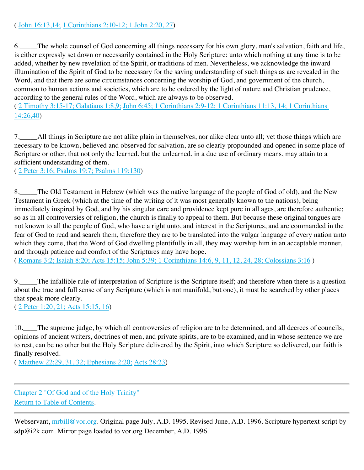#### ( [John 16:13,14;](http://www.gospelcom.net/bible?language=English&version=NASB&passage=John+16:13-14) [1 Corinthians 2:10-12;](http://www.gospelcom.net/bible?language=English&version=NASB&passage=1Corinthians+2:10-12) [1 John 2:20, 27](http://www.gospelcom.net/bible?language=English&version=NASB&passage=1John+2:20-27))

6.\_\_\_\_\_The whole counsel of God concerning all things necessary for his own glory, man's salvation, faith and life, is either expressly set down or necessarily contained in the Holy Scripture: unto which nothing at any time is to be added, whether by new revelation of the Spirit, or traditions of men. Nevertheless, we acknowledge the inward illumination of the Spirit of God to be necessary for the saving understanding of such things as are revealed in the Word, and that there are some circumstances concerning the worship of God, and government of the church, common to human actions and societies, which are to be ordered by the light of nature and Christian prudence, according to the general rules of the Word, which are always to be observed.

( [2 Timothy 3:15-17;](http://www.gospelcom.net/bible?language=English&version=NASB&passage=2Timothy+3:15-17) [Galatians 1:8,9;](http://www.gospelcom.net/bible?language=English&version=NASB&passage=Galatians+1:8-9) [John 6:45;](http://www.gospelcom.net/bible?language=English&version=NASB&passage=John+6:45) [1 Corinthians 2:9-12;](http://www.gospelcom.net/bible?language=English&version=NASB&passage=1Corinthians+2:9-12) [1 Corinthians 11:13, 14;](http://www.gospelcom.net/bible?language=English&version=NASB&passage=1Corinthians+11:13-14) [1 Corinthians](http://www.gospelcom.net/bible?language=English&version=NASB&passage=1Corinthians+14:26-40)  [14:26,40](http://www.gospelcom.net/bible?language=English&version=NASB&passage=1Corinthians+14:26-40))

7.\_\_\_\_\_All things in Scripture are not alike plain in themselves, nor alike clear unto all; yet those things which are necessary to be known, believed and observed for salvation, are so clearly propounded and opened in some place of Scripture or other, that not only the learned, but the unlearned, in a due use of ordinary means, may attain to a sufficient understanding of them.

( [2 Peter 3:16;](http://www.gospelcom.net/bible?language=English&version=NASB&passage=2Peter+3:16) [Psalms 19:7;](http://www.gospelcom.net/bible?language=English&version=NASB&passage=Psalms+19:7) [Psalms 119:130](http://www.gospelcom.net/bible?language=English&version=NASB&passage=Psalms+119:130))

8.\_\_\_\_\_The Old Testament in Hebrew (which was the native language of the people of God of old), and the New Testament in Greek (which at the time of the writing of it was most generally known to the nations), being immediately inspired by God, and by his singular care and providence kept pure in all ages, are therefore authentic; so as in all controversies of religion, the church is finally to appeal to them. But because these original tongues are not known to all the people of God, who have a right unto, and interest in the Scriptures, and are commanded in the fear of God to read and search them, therefore they are to be translated into the vulgar language of every nation unto which they come, that the Word of God dwelling plentifully in all, they may worship him in an acceptable manner, and through patience and comfort of the Scriptures may have hope.

( [Romans 3:2;](http://www.gospelcom.net/bible?language=English&version=NASB&passage=Romans+3:2) [Isaiah 8:20;](http://www.gospelcom.net/bible?language=English&version=NASB&passage=Isaiah+8:20) [Acts 15:15;](http://www.gospelcom.net/bible?language=English&version=NASB&passage=Acts+15:15) [John 5:39;](http://www.gospelcom.net/bible?language=English&version=NASB&passage=John+5:39) [1 Corinthians 14:6, 9, 11, 12, 24, 28;](http://www.gospelcom.net/bible?language=English&version=NASB&passage=1Corinthians+14:6-28) [Colossians 3:16](http://www.gospelcom.net/bible?language=English&version=NASB&passage=Colossians+3:16) )

9.\_\_\_\_\_The infallible rule of interpretation of Scripture is the Scripture itself; and therefore when there is a question about the true and full sense of any Scripture (which is not manifold, but one), it must be searched by other places that speak more clearly.

( [2 Peter 1:20, 21;](http://www.gospelcom.net/bible?language=English&version=NASB&passage=2Peter+1:20-21) [Acts 15:15, 16\)](http://www.gospelcom.net/bible?language=English&version=NASB&passage=Acts+15:15-16)

10.\_\_\_\_The supreme judge, by which all controversies of religion are to be determined, and all decrees of councils, opinions of ancient writers, doctrines of men, and private spirits, are to be examined, and in whose sentence we are to rest, can be no other but the Holy Scripture delivered by the Spirit, into which Scripture so delivered, our faith is finally resolved.

( [Matthew 22:29, 31, 32;](http://www.gospelcom.net/bible?language=English&version=NASB&passage=Matthew+22:29-32) [Ephesians 2:20;](http://www.gospelcom.net/bible?language=English&version=NASB&passage=Ephesians+2:20) [Acts 28:23\)](http://www.gospelcom.net/bible?language=English&version=NASB&passage=Acts+28:23)

[Chapter 2 "Of God and of the Holy Trinity"](#page-4-0) [Return to Table of Contents.](#page-0-0)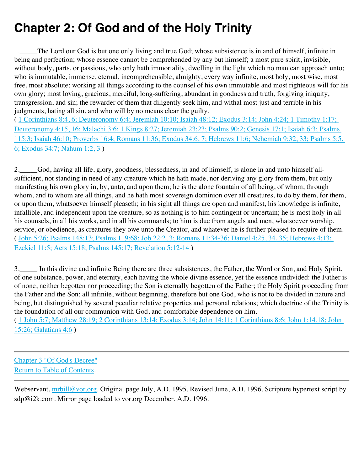## <span id="page-4-0"></span>**Chapter 2: Of God and of the Holy Trinity**

1. The Lord our God is but one only living and true God; whose subsistence is in and of himself, infinite in being and perfection; whose essence cannot be comprehended by any but himself; a most pure spirit, invisible, without body, parts, or passions, who only hath immortality, dwelling in the light which no man can approach unto; who is immutable, immense, eternal, incomprehensible, almighty, every way infinite, most holy, most wise, most free, most absolute; working all things according to the counsel of his own immutable and most righteous will for his own glory; most loving, gracious, merciful, long-suffering, abundant in goodness and truth, forgiving iniquity, transgression, and sin; the rewarder of them that diligently seek him, and withal most just and terrible in his judgments, hating all sin, and who will by no means clear the guilty.

( [1 Corinthians 8:4, 6;](http://www.gospelcom.net/bible?language=English&version=NASB&passage=1Corinthians+8:4-6) [Deuteronomy 6:4;](http://www.gospelcom.net/bible?language=English&version=NASB&passage=Deuteronomy+6:4) [Jeremiah 10:10;](http://www.gospelcom.net/bible?language=English&version=NASB&passage=Jeremiah+10:10) [Isaiah 48:12;](http://www.gospelcom.net/bible?language=English&version=NASB&passage=Isaiah+48:12) [Exodus 3:14;](http://www.gospelcom.net/bible?language=English&version=NASB&passage=Exodus+3:14) [John 4:24;](http://www.gospelcom.net/bible?language=English&version=NASB&passage=John+4:24) [1 Timothy 1:17;](http://www.gospelcom.net/bible?language=English&version=NASB&passage=1Timothy+1:17)  [Deuteronomy 4:15, 16;](http://www.gospelcom.net/bible?language=English&version=NASB&passage=Deuteronomy+4:15-16) [Malachi 3:6;](http://www.gospelcom.net/bible?language=English&version=NASB&passage=Malachi+3:6) [1 Kings 8:27;](http://www.gospelcom.net/bible?language=English&version=NASB&passage=1Kings+8:27) [Jeremiah 23:23;](http://www.gospelcom.net/bible?language=English&version=NASB&passage=Jeremiah+23:23) [Psalms 90:2;](http://www.gospelcom.net/bible?language=English&version=NASB&passage=Psalms+90:2) [Genesis 17:1;](http://www.gospelcom.net/bible?language=English&version=NASB&passage=Genesis+17:1) [Isaiah 6:3;](http://www.gospelcom.net/bible?language=English&version=NASB&passage=Isaiah+6:3) [Psalms](http://www.gospelcom.net/bible?language=English&version=NASB&passage=Psalms+115:3)  [115:3;](http://www.gospelcom.net/bible?language=English&version=NASB&passage=Psalms+115:3) [Isaiah 46:10;](http://www.gospelcom.net/bible?language=English&version=NASB&passage=Isaiah+46:10) [Proverbs 16:4;](http://www.gospelcom.net/bible?language=English&version=NASB&passage=Proverbs+16:4) [Romans 11:36;](http://www.gospelcom.net/bible?language=English&version=NASB&passage=Romans+11:36) [Exodus 34:6, 7;](http://www.gospelcom.net/bible?language=English&version=NASB&passage=Exodus+34:6-7) [Hebrews 11:6;](http://www.gospelcom.net/bible?language=English&version=NASB&passage=Hebrews+11:6) [Nehemiah 9:32, 33;](http://www.gospelcom.net/bible?language=English&version=NASB&passage=Nehemiah+9:32-33) [Psalms 5:5,](http://www.gospelcom.net/bible?language=English&version=NASB&passage=Psalms+5:5-6)  [6;](http://www.gospelcom.net/bible?language=English&version=NASB&passage=Psalms+5:5-6) [Exodus 34:7;](http://www.gospelcom.net/bible?language=English&version=NASB&passage=Exodus+34:7) [Nahum 1:2, 3](http://www.gospelcom.net/bible?language=English&version=NASB&passage=Nahum+1:2-3) )

2.\_\_\_\_\_God, having all life, glory, goodness, blessedness, in and of himself, is alone in and unto himself allsufficient, not standing in need of any creature which he hath made, nor deriving any glory from them, but only manifesting his own glory in, by, unto, and upon them; he is the alone fountain of all being, of whom, through whom, and to whom are all things, and he hath most sovereign dominion over all creatures, to do by them, for them, or upon them, whatsoever himself pleaseth; in his sight all things are open and manifest, his knowledge is infinite, infallible, and independent upon the creature, so as nothing is to him contingent or uncertain; he is most holy in all his counsels, in all his works, and in all his commands; to him is due from angels and men, whatsoever worship, service, or obedience, as creatures they owe unto the Creator, and whatever he is further pleased to require of them. ( [John 5:26;](http://www.gospelcom.net/bible?language=English&version=NASB&passage=John+5:26) [Psalms 148:13;](http://www.gospelcom.net/bible?language=English&version=NASB&passage=Psalms+148:13) [Psalms 119:68;](http://www.gospelcom.net/bible?language=English&version=NASB&passage=Psalms+119:68) [Job 22:2, 3;](http://www.gospelcom.net/bible?language=English&version=NASB&passage=Job+22:2-3) [Romans 11:34-36;](http://www.gospelcom.net/bible?language=English&version=NASB&passage=Romans+11:34-36) [Daniel 4:25, 34, 35;](http://www.gospelcom.net/bible?language=English&version=NASB&passage=Daniel+4:25-35) [Hebrews 4:13;](http://www.gospelcom.net/bible?language=English&version=NASB&passage=Hebrews+4:13) [Ezekiel 11:5;](http://www.gospelcom.net/bible?language=English&version=NASB&passage=Ezekiel+11:5) [Acts 15:18;](http://www.gospelcom.net/bible?language=English&version=NASB&passage=Acts+15:18) [Psalms 145:17;](http://www.gospelcom.net/bible?language=English&version=NASB&passage=Psalms+145:17) [Revelation 5:12-14](http://www.gospelcom.net/bible?language=English&version=NASB&passage=Revelation+5:12-14) )

3.\_\_\_\_\_ In this divine and infinite Being there are three subsistences, the Father, the Word or Son, and Holy Spirit, of one substance, power, and eternity, each having the whole divine essence, yet the essence undivided: the Father is of none, neither begotten nor proceeding; the Son is eternally begotten of the Father; the Holy Spirit proceeding from the Father and the Son; all infinite, without beginning, therefore but one God, who is not to be divided in nature and being, but distinguished by several peculiar relative properties and personal relations; which doctrine of the Trinity is the foundation of all our communion with God, and comfortable dependence on him.

( [1 John 5:7;](http://www.gospelcom.net/bible?language=English&version=NASB&passage=1John+5:7) [Matthew 28:19;](http://www.gospelcom.net/bible?language=English&version=NASB&passage=Matthew+28:19) [2 Corinthians 13:14;](http://www.gospelcom.net/bible?language=English&version=NASB&passage=2Corinthians+13:14) [Exodus 3:14;](http://www.gospelcom.net/bible?language=English&version=NASB&passage=Exodus+3:14) [John 14:11;](http://www.gospelcom.net/bible?language=English&version=NASB&passage=John+14:11) [1 Corinthians 8:6;](http://www.gospelcom.net/bible?language=English&version=NASB&passage=1Corinthians+8:6) [John 1:14,18;](http://www.gospelcom.net/bible?language=English&version=NASB&passage=John+1:14-18) [John](http://www.gospelcom.net/bible?language=English&version=NASB&passage=John+15:26) [15:26;](http://www.gospelcom.net/bible?language=English&version=NASB&passage=John+15:26) [Galatians 4:6](http://www.gospelcom.net/bible?language=English&version=NASB&passage=Galatians+4:6) )

[Chapter 3 "Of God's Decree"](#page-5-0) [Return to Table of Contents.](#page-0-0)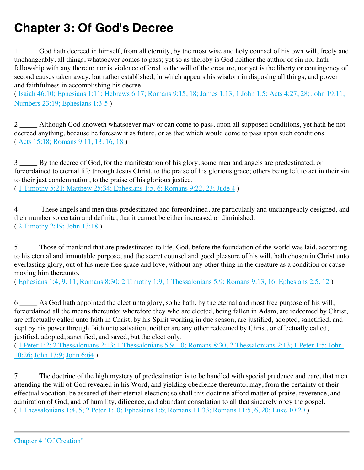# <span id="page-5-0"></span>**Chapter 3: Of God's Decree**

1. God hath decreed in himself, from all eternity, by the most wise and holy counsel of his own will, freely and unchangeably, all things, whatsoever comes to pass; yet so as thereby is God neither the author of sin nor hath fellowship with any therein; nor is violence offered to the will of the creature, nor yet is the liberty or contingency of second causes taken away, but rather established; in which appears his wisdom in disposing all things, and power and faithfulness in accomplishing his decree.

( [Isaiah 46:10;](http://www.gospelcom.net/bible?language=English&version=NASB&passage=Isaiah+46:10) [Ephesians 1:11;](http://www.gospelcom.net/bible?language=English&version=NASB&passage=Ephesians+1:11) [Hebrews 6:17;](http://www.gospelcom.net/bible?language=English&version=NASB&passage=Hebrews+6:17) [Romans 9:15, 18;](http://www.gospelcom.net/bible?language=English&version=NASB&passage=Romans+9:15-18) [James 1:13;](http://www.gospelcom.net/bible?language=English&version=NASB&passage=James+1:13) [1 John 1:5;](http://www.gospelcom.net/bible?language=English&version=NASB&passage=1John+1:5) [Acts 4:27, 28;](http://www.gospelcom.net/bible?language=English&version=NASB&passage=Acts+4:27-28) [John 19:11;](http://www.gospelcom.net/bible?language=English&version=NASB&passage=John+19:11) [Numbers 23:19;](http://www.gospelcom.net/bible?language=English&version=NASB&passage=Numbers+23:19) [Ephesians 1:3-5](http://www.gospelcom.net/bible?language=English&version=NASB&passage=Ephesians+1:3-5) )

2. Although God knoweth whatsoever may or can come to pass, upon all supposed conditions, yet hath he not decreed anything, because he foresaw it as future, or as that which would come to pass upon such conditions. ( [Acts 15:18;](http://www.gospelcom.net/bible?language=English&version=NASB&passage=Acts+15:18) [Romans 9:11, 13, 16, 18](http://www.gospelcom.net/bible?language=English&version=NASB&passage=Romans+9:11-18) )

3.\_\_\_\_\_ By the decree of God, for the manifestation of his glory, some men and angels are predestinated, or foreordained to eternal life through Jesus Christ, to the praise of his glorious grace; others being left to act in their sin to their just condemnation, to the praise of his glorious justice. ( [1 Timothy 5:21;](http://www.gospelcom.net/bible?language=English&version=NASB&passage=1Timothy+5:21) [Matthew 25:34;](http://www.gospelcom.net/bible?language=English&version=NASB&passage=Matthew+25:34) [Ephesians 1:5, 6;](http://www.gospelcom.net/bible?language=English&version=NASB&passage=Ephesians+1:5-6) [Romans 9:22, 23;](http://www.gospelcom.net/bible?language=English&version=NASB&passage=Romans+9:22-23) [Jude 4](http://www.gospelcom.net/bible?language=English&version=NASB&passage=Jude+4) )

4. These angels and men thus predestinated and foreordained, are particularly and unchangeably designed, and their number so certain and definite, that it cannot be either increased or diminished. ( [2 Timothy 2:19;](http://www.gospelcom.net/bible?language=English&version=NASB&passage=2Timothy+2:19) [John 13:18](http://www.gospelcom.net/bible?language=English&version=NASB&passage=John+13:18) )

5.\_\_\_\_\_ Those of mankind that are predestinated to life, God, before the foundation of the world was laid, according to his eternal and immutable purpose, and the secret counsel and good pleasure of his will, hath chosen in Christ unto everlasting glory, out of his mere free grace and love, without any other thing in the creature as a condition or cause moving him thereunto.

( [Ephesians 1:4, 9, 11;](http://www.gospelcom.net/bible?language=English&version=NASB&passage=Ephesians+1:4-11) [Romans 8:30;](http://www.gospelcom.net/bible?language=English&version=NASB&passage=Romans+8:30) [2 Timothy 1:9;](http://www.gospelcom.net/bible?language=English&version=NASB&passage=2Timothy+1:9) [1 Thessalonians 5:9;](http://www.gospelcom.net/bible?language=English&version=NASB&passage=1Thessalonians+5:9) [Romans 9:13, 16;](http://www.gospelcom.net/bible?language=English&version=NASB&passage=Romans+9:13-16) [Ephesians 2:5, 12](http://www.gospelcom.net/bible?language=English&version=NASB&passage=Ephesians+2:5-12) )

6.\_\_\_\_\_ As God hath appointed the elect unto glory, so he hath, by the eternal and most free purpose of his will, foreordained all the means thereunto; wherefore they who are elected, being fallen in Adam, are redeemed by Christ, are effectually called unto faith in Christ, by his Spirit working in due season, are justified, adopted, sanctified, and kept by his power through faith unto salvation; neither are any other redeemed by Christ, or effectually called, justified, adopted, sanctified, and saved, but the elect only.

( [1 Peter 1:2;](http://www.gospelcom.net/bible?language=English&version=NASB&passage=1Peter+1:2) [2 Thessalonians 2:13;](http://www.gospelcom.net/bible?language=English&version=NASB&passage=2Thessalonians+2:13) [1 Thessalonians 5:9, 10;](http://www.gospelcom.net/bible?language=English&version=NASB&passage=1Thessalonians+5:9-10) [Romans 8:30;](http://www.gospelcom.net/bible?language=English&version=NASB&passage=Romans+8:30) [2 Thessalonians 2:13;](http://www.gospelcom.net/bible?language=English&version=NASB&passage=2Thessalonians+2:13) [1 Peter 1:5;](http://www.gospelcom.net/bible?language=English&version=NASB&passage=1Peter+1:5) [John](http://www.gospelcom.net/bible?language=English&version=NASB&passage=John+10:26) [10:26;](http://www.gospelcom.net/bible?language=English&version=NASB&passage=John+10:26) [John 17:9;](http://www.gospelcom.net/bible?language=English&version=NASB&passage=John+17:9) [John 6:64](http://www.gospelcom.net/bible?language=English&version=NASB&passage=John+6:64) )

7.\_\_\_\_\_ The doctrine of the high mystery of predestination is to be handled with special prudence and care, that men attending the will of God revealed in his Word, and yielding obedience thereunto, may, from the certainty of their effectual vocation, be assured of their eternal election; so shall this doctrine afford matter of praise, reverence, and admiration of God, and of humility, diligence, and abundant consolation to all that sincerely obey the gospel. ( [1 Thessalonians 1:4, 5;](http://www.gospelcom.net/bible?language=English&version=NASB&passage=1Thessalonians+1:4-5) [2 Peter 1:10;](http://www.gospelcom.net/bible?language=English&version=NASB&passage=2Peter+1:10) [Ephesians 1:6;](http://www.gospelcom.net/bible?language=English&version=NASB&passage=Ephesians+1:6) [Romans 11:33;](http://www.gospelcom.net/bible?language=English&version=NASB&passage=Romans+11:33) [Romans 11:5, 6, 20;](http://www.gospelcom.net/bible?language=English&version=NASB&passage=Romans+11:5-20) [Luke 10:20](http://www.gospelcom.net/bible?language=English&version=NASB&passage=Luke+10:20) )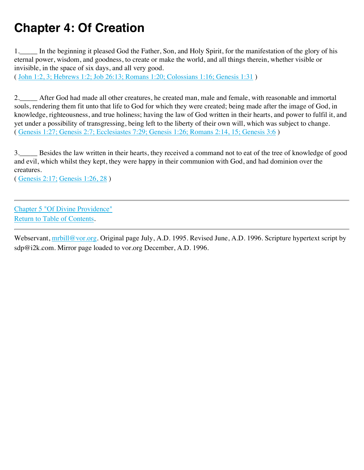#### <span id="page-7-0"></span>**Chapter 4: Of Creation**

1.\_\_\_\_\_ In the beginning it pleased God the Father, Son, and Holy Spirit, for the manifestation of the glory of his eternal power, wisdom, and goodness, to create or make the world, and all things therein, whether visible or invisible, in the space of six days, and all very good.

( [John 1:2, 3;](http://www.gospelcom.net/bible?language=English&version=NASB&passage=John+1:2-3) [Hebrews 1:2;](http://www.gospelcom.net/bible?language=English&version=NASB&passage=Hebrews+1:2) [Job 26:13;](http://www.gospelcom.net/bible?language=English&version=NASB&passage=Job+26:13) [Romans 1:20;](http://www.gospelcom.net/bible?language=English&version=NASB&passage=Romans+1:20) [Colossians 1:16;](http://www.gospelcom.net/bible?language=English&version=NASB&passage=Colossians+1:16) [Genesis 1:31](http://www.gospelcom.net/bible?language=English&version=NASB&passage=Genesis+1:31) )

2.\_\_\_\_\_ After God had made all other creatures, he created man, male and female, with reasonable and immortal souls, rendering them fit unto that life to God for which they were created; being made after the image of God, in knowledge, righteousness, and true holiness; having the law of God written in their hearts, and power to fulfil it, and yet under a possibility of transgressing, being left to the liberty of their own will, which was subject to change. ( [Genesis 1:27;](http://www.gospelcom.net/bible?language=English&version=NASB&passage=Genesis+1:27) [Genesis 2:7;](http://www.gospelcom.net/bible?language=English&version=NASB&passage=Genesis+2:7) [Ecclesiastes 7:29;](http://www.gospelcom.net/bible?language=English&version=NASB&passage=Ecclesiastes+7:29) [Genesis 1:26;](http://www.gospelcom.net/bible?language=English&version=NASB&passage=Genesis+1;26) [Romans 2:14, 15;](http://www.gospelcom.net/bible?language=English&version=NASB&passage=Romans+2:14-15) [Genesis 3:6](http://www.gospelcom.net/bible?language=English&version=NASB&passage=Genesis+3:6) )

3.\_\_\_\_\_ Besides the law written in their hearts, they received a command not to eat of the tree of knowledge of good and evil, which whilst they kept, they were happy in their communion with God, and had dominion over the creatures.

( [Genesis 2:17;](http://www.gospelcom.net/bible?language=English&version=NASB&passage=Genesis+2:17) [Genesis 1:26, 28](http://www.gospelcom.net/bible?language=English&version=NASB&passage=Genesis+1:26-28) )

[Chapter 5 "Of Divine Providence"](#page-8-0) [Return to Table of Contents.](#page-0-0)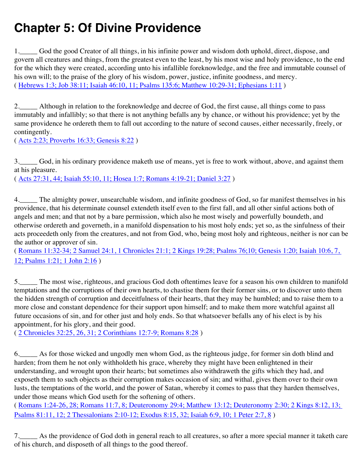# <span id="page-8-0"></span>**Chapter 5: Of Divine Providence**

1.\_\_\_\_\_ God the good Creator of all things, in his infinite power and wisdom doth uphold, direct, dispose, and govern all creatures and things, from the greatest even to the least, by his most wise and holy providence, to the end for the which they were created, according unto his infallible foreknowledge, and the free and immutable counsel of his own will; to the praise of the glory of his wisdom, power, justice, infinite goodness, and mercy. ( [Hebrews 1:3;](http://www.gospelcom.net/bible?language=English&version=NASB&passage=Hebrews+1:3) [Job 38:11;](http://www.gospelcom.net/bible?language=English&version=NASB&passage=Job+38:11) [Isaiah 46:10, 11;](http://www.gospelcom.net/bible?language=English&version=NASB&passage=Isaiah+46:10-11) [Psalms 135:6;](http://www.gospelcom.net/bible?language=English&version=NASB&passage=Psalms+135:6) [Matthew 10:29-31;](http://www.gospelcom.net/bible?language=English&version=NASB&passage=Matthew+10:29-31) [Ephesians 1:11](http://www.gospelcom.net/bible?Ephesians+1:11) )

2.\_\_\_\_\_ Although in relation to the foreknowledge and decree of God, the first cause, all things come to pass immutably and infallibly; so that there is not anything befalls any by chance, or without his providence; yet by the same providence he ordereth them to fall out according to the nature of second causes, either necessarily, freely, or contingently.

( [Acts 2:23;](http://www.gospelcom.net/bible?language=English&version=NASB&passage=Acts+2:23) [Proverbs 16:33;](http://www.gospelcom.net/bible?language=English&version=NASB&passage=Proverbs+16:33) [Genesis 8:22](http://www.gospelcom.net/bible?language=English&version=NASB&passage=Genesis+8:22) )

3.\_\_\_\_\_ God, in his ordinary providence maketh use of means, yet is free to work without, above, and against them at his pleasure.

( [Acts 27:31, 44;](http://www.gospelcom.net/bible?language=English&version=NASB&passage=Acts+27:31-41) [Isaiah 55:10, 11;](http://www.gospelcom.net/bible?language=English&version=NASB&passage=Isaiah+55:10-11) [Hosea 1:7;](http://www.gospelcom.net/bible?language=English&version=NASB&passage=Hosea+1:7) [Romans 4:19-21;](http://www.gospelcom.net/bible?language=English&version=NASB&passage=Romans+4:19-21) [Daniel 3:27](http://www.gospelcom.net/bible?language=English&version=NASB&passage=Daniel+3:27) )

4. The almighty power, unsearchable wisdom, and infinite goodness of God, so far manifest themselves in his providence, that his determinate counsel extendeth itself even to the first fall, and all other sinful actions both of angels and men; and that not by a bare permission, which also he most wisely and powerfully boundeth, and otherwise ordereth and governeth, in a manifold dispensation to his most holy ends; yet so, as the sinfulness of their acts proceedeth only from the creatures, and not from God, who, being most holy and righteous, neither is nor can be the author or approver of sin.

( [Romans 11:32-34;](http://www.gospelcom.net/bible?language=English&version=NASB&passage=Romans+11:32-34) [2 Samuel 24:1,](http://www.gospelcom.net/bible?language=English&version=NASB&passage=2Samuel+24:1) [1 Chronicles 21:1;](http://www.gospelcom.net/bible?language=English&version=NASB&passage=1Chronicles+21:1) [2 Kings 19:28;](http://www.gospelcom.net/bible?language=English&version=NASB&passage=2Kings+19:28) [Psalms 76;10;](http://www.gospelcom.net/bible?language=English&version=NASB&passage=Psalms+76;10) [Genesis 1:20;](http://www.gospelcom.net/bible?language=English&version=NASB&passage=Genesis+1:20) [Isaiah 10:6, 7,](http://www.gospelcom.net/bible?language=English&version=NASB&passage=Isaiah+10:6-12)  [12;](http://www.gospelcom.net/bible?language=English&version=NASB&passage=Isaiah+10:6-12) [Psalms 1:21;](http://www.gospelcom.net/bible?language=English&version=NASB&passage=Psalms+1:21) [1 John 2:16](http://www.gospelcom.net/bible?language=English&version=NASB&passage=1John+2:16) )

5.\_\_\_\_\_ The most wise, righteous, and gracious God doth oftentimes leave for a season his own children to manifold temptations and the corruptions of their own hearts, to chastise them for their former sins, or to discover unto them the hidden strength of corruption and deceitfulness of their hearts, that they may be humbled; and to raise them to a more close and constant dependence for their support upon himself; and to make them more watchful against all future occasions of sin, and for other just and holy ends. So that whatsoever befalls any of his elect is by his appointment, for his glory, and their good.

( [2 Chronicles 32:25, 26, 31;](http://www.gospelcom.net/bible?language=English&version=NASB&passage=2Chronicles+32:25-31) [2 Corinthians 12:7-9;](http://www.gospelcom.net/bible?language=English&version=NASB&passage=2Corinthians+12:7-9) [Romans 8:28](http://www.gospelcom.net/bible?language=English&version=NASB&passage=Romans+8:28) )

6.\_\_\_\_\_ As for those wicked and ungodly men whom God, as the righteous judge, for former sin doth blind and harden; from them he not only withholdeth his grace, whereby they might have been enlightened in their understanding, and wrought upon their hearts; but sometimes also withdraweth the gifts which they had, and exposeth them to such objects as their corruption makes occasion of sin; and withal, gives them over to their own lusts, the temptations of the world, and the power of Satan, whereby it comes to pass that they harden themselves, under those means which God useth for the softening of others.

( [Romans 1:24-26, 28;](http://www.gospelcom.net/bible?language=English&version=NASB&passage=Romans+1:24-26) [Romans 11:7, 8;](http://www.gospelcom.net/bible?language=English&version=NASB&passage=Romans+11:7-8) [Deuteronomy 29:4;](http://www.gospelcom.net/bible?language=English&version=NASB&passage=Deuteronomy+29:4) [Matthew 13:12;](http://www.gospelcom.net/bible?language=English&version=NASB&passage=Matthew+13:12) [Deuteronomy 2:30;](http://www.gospelcom.net/bible?language=English&version=NASB&passage=Deuteronomy+2:30) [2 Kings 8:12, 13;](http://www.gospelcom.net/bible?language=English&version=NASB&passage=2Kings+8:12-13) [Psalms 81:11, 12;](http://www.gospelcom.net/bible?language=English&version=NASB&passage=Psalms+81:11-12) [2 Thessalonians 2:10-12;](http://www.gospelcom.net/bible?language=English&version=NASB&passage=2Thessalonians+2:10-12) [Exodus 8:15, 32;](http://www.gospelcom.net/bible?language=English&version=NASB&passage=Exodus+8:15-32) [Isaiah 6:9, 10;](http://www.gospelcom.net/bible?language=English&version=NASB&passage=Isaiah+6:9-10) [1 Peter 2:7, 8](http://www.gospelcom.net/bible?language=English&version=NASB&passage=1Peter+2:7-8) )

7.\_\_\_\_\_ As the providence of God doth in general reach to all creatures, so after a more special manner it taketh care of his church, and disposeth of all things to the good thereof.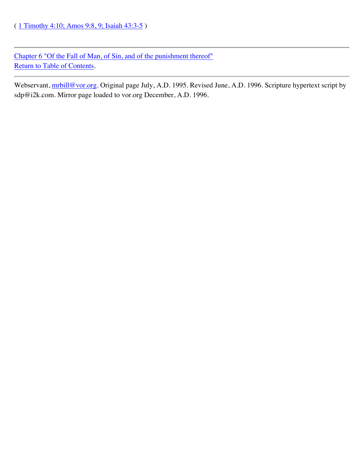[Chapter 6 "Of the Fall of Man, of Sin, and of the punishment thereof"](#page-10-0) [Return to Table of Contents.](#page-0-0)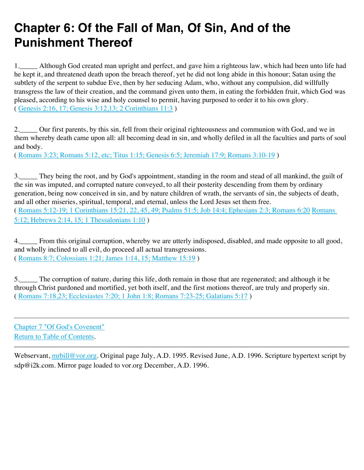#### <span id="page-10-0"></span>**Chapter 6: Of the Fall of Man, Of Sin, And of the Punishment Thereof**

1. Although God created man upright and perfect, and gave him a righteous law, which had been unto life had he kept it, and threatened death upon the breach thereof, yet he did not long abide in this honour; Satan using the subtlety of the serpent to subdue Eve, then by her seducing Adam, who, without any compulsion, did willfully transgress the law of their creation, and the command given unto them, in eating the forbidden fruit, which God was pleased, according to his wise and holy counsel to permit, having purposed to order it to his own glory. ( [Genesis 2:16, 17;](http://www.gospelcom.net/bible?language=English&version=NASB&passage=Genesis+2:16-17) [Genesis 3:12,13;](http://www.gospelcom.net/bible?language=English&version=NASB&passage=Genesis+3:12-13) [2 Corinthians 11:3](http://www.gospelcom.net/bible?language=English&version=NASB&passage=2Corinthians+11:3) )

2. Our first parents, by this sin, fell from their original righteousness and communion with God, and we in them whereby death came upon all: all becoming dead in sin, and wholly defiled in all the faculties and parts of soul and body.

( [Romans 3:23;](http://www.gospelcom.net/bible?language=English&version=NASB&passage=Romans+3:23) [Romans 5:12, etc;](http://www.gospelcom.net/bible?language=English&version=NASB&passage=Romans+5:12-19) [Titus 1:15;](http://www.gospelcom.net/bible?language=English&version=NASB&passage=Titus+1:15) [Genesis 6:5;](http://www.gospelcom.net/bible?language=English&version=NASB&passage=Genesis+6:5) [Jeremiah 17:9;](http://www.gospelcom.net/bible?language=English&version=NASB&passage=Jeremiah+17:9) [Romans 3:10-19](http://www.gospelcom.net/bible?language=English&version=NASB&passage=Romans+3:10-19) )

3.\_\_\_\_\_ They being the root, and by God's appointment, standing in the room and stead of all mankind, the guilt of the sin was imputed, and corrupted nature conveyed, to all their posterity descending from them by ordinary generation, being now conceived in sin, and by nature children of wrath, the servants of sin, the subjects of death, and all other miseries, spiritual, temporal, and eternal, unless the Lord Jesus set them free. ( [Romans 5:12-19;](http://www.gospelcom.net/bible?language=English&version=NASB&passage=Romans+5:12-19) [1 Corinthians 15:21, 22, 45, 49;](http://www.gospelcom.net/bible?language=English&version=NASB&passage=1Corinthians+15:21-49) [Psalms 51:5;](http://www.gospelcom.net/bible?language=English&version=NASB&passage=Psalms+51:5) [Job 14:4;](http://www.gospelcom.net/bible?language=English&version=NASB&passage=Job+14:4) [Ephesians 2:3;](http://www.gospelcom.net/bible?language=English&version=NASB&passage=Ephesians+2:3) [Romans 6:20](http://www.gospelcom.net/bible?language=English&version=NASB&passage=Romans+6:20) [Romans](http://www.gospelcom.net/bible?language=English&version=NASB&passage=Romans+5:12) [5:12;](http://www.gospelcom.net/bible?language=English&version=NASB&passage=Romans+5:12) [Hebrews 2:14, 15;](http://www.gospelcom.net/bible?language=English&version=NASB&passage=Hebrews+2:14-15) [1 Thessalonians 1:10](http://www.gospelcom.net/bible?language=English&version=NASB&passage=1Thessalonians_1:10) )

4. From this original corruption, whereby we are utterly indisposed, disabled, and made opposite to all good, and wholly inclined to all evil, do proceed all actual transgressions. ( [Romans 8:7;](http://www.gospelcom.net/bible?language=English&version=NASB&passage=Romans+8:7) [Colossians 1:21;](http://www.gospelcom.net/bible?language=English&version=NASB&passage=Colossians+1:21) [James 1:14, 15;](http://www.gospelcom.net/bible?language=English&version=NASB&passage=James+1:14-15) [Matthew 15:19](http://www.gospelcom.net/bible?language=English&version=NASB&passage=Matthew+15:19) )

5.\_\_\_\_\_ The corruption of nature, during this life, doth remain in those that are regenerated; and although it be through Christ pardoned and mortified, yet both itself, and the first motions thereof, are truly and properly sin. ( [Romans 7:18,23;](http://www.gospelcom.net/bible?language=English&version=NASB&passage=Romans+7:18-23) [Ecclesiastes 7:20;](http://www.gospelcom.net/bible?language=English&version=NASB&passage=Ecclesiastes+7:20) [1 John 1:8;](http://www.gospelcom.net/bible?language=English&version=NASB&passage=1John+1:8) [Romans 7:23-25;](http://www.gospelcom.net/bible?language=English&version=NASB&passage=Romans+7:23-25) [Galatians 5:17](http://www.gospelcom.net/bible?language=English&version=NASB&passage=Galatians+5:17) )

[Chapter 7 "Of God's Covenent"](#page-11-0) [Return to Table of Contents.](#page-0-0)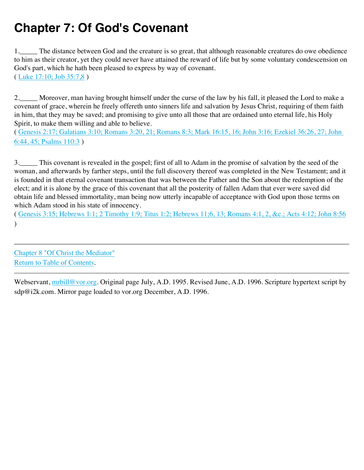## <span id="page-11-0"></span>**Chapter 7: Of God's Covenant**

1.\_\_\_\_\_ The distance between God and the creature is so great, that although reasonable creatures do owe obedience to him as their creator, yet they could never have attained the reward of life but by some voluntary condescension on God's part, which he hath been pleased to express by way of covenant. ( [Luke 17:10;](http://www.gospelcom.net/bible?language=English&version=NASB&passage=Luke+17:10) [Job 35:7,8](http://www.gospelcom.net/bible?language=English&version=NASB&passage=Job+35:7-8) )

2.\_\_\_\_\_ Moreover, man having brought himself under the curse of the law by his fall, it pleased the Lord to make a covenant of grace, wherein he freely offereth unto sinners life and salvation by Jesus Christ, requiring of them faith in him, that they may be saved; and promising to give unto all those that are ordained unto eternal life, his Holy Spirit, to make them willing and able to believe.

( [Genesis 2:17;](http://www.gospelcom.net/bible?language=English&version=NASB&passage=Genesis+2:17) [Galatians 3:10;](http://www.gospelcom.net/bible?language=English&version=NASB&passage=Galatians+3:10) [Romans 3:20, 21;](http://www.gospelcom.net/bible?language=English&version=NASB&passage=Romans+3:20-21) [Romans 8:3;](http://www.gospelcom.net/bible?language=English&version=NASB&passage=Romans+8:3) [Mark 16:15, 16;](http://www.gospelcom.net/bible?language=English&version=NASB&passage=Mark+16:15-16) [John 3:16;](http://www.gospelcom.net/bible?language=English&version=NASB&passage=John+3:16) [Ezekiel 36:26, 27;](http://www.gospelcom.net/bible?language=English&version=NASB&passage=Ezekiel+36:26-27) [John](http://www.gospelcom.net/bible?language=English&version=NASB&passage=John+6:44-45) [6:44, 45;](http://www.gospelcom.net/bible?language=English&version=NASB&passage=John+6:44-45) [Psalms 110:3](http://www.gospelcom.net/bible?language=English&version=NASB&passage=Psalms+110:3) )

3.\_\_\_\_\_ This covenant is revealed in the gospel; first of all to Adam in the promise of salvation by the seed of the woman, and afterwards by farther steps, until the full discovery thereof was completed in the New Testament; and it is founded in that eternal covenant transaction that was between the Father and the Son about the redemption of the elect; and it is alone by the grace of this covenant that all the posterity of fallen Adam that ever were saved did obtain life and blessed immortality, man being now utterly incapable of acceptance with God upon those terms on which Adam stood in his state of innocency.

( [Genesis 3:15;](http://www.gospelcom.net/bible?language=English&version=NASB&passage=Genesis+3:15) [Hebrews 1:1;](http://www.gospelcom.net/bible?language=English&version=NASB&passage=Hebrews+1:1) [2 Timothy 1:9;](http://www.gospelcom.net/bible?language=English&version=NASB&passage=2Timothy+1:9) [Titus 1:2;](http://www.gospelcom.net/bible?language=English&version=NASB&passage=Titus+1:2) [Hebrews 11;6, 13;](http://www.gospelcom.net/bible?language=English&version=NASB&passage=Hebrews+11;6-13) [Romans 4:1, 2, &c.;](http://www.gospelcom.net/bible?language=English&version=NASB&passage=Romans+4:1-5) [Acts 4:12;](http://www.gospelcom.net/bible?language=English&version=NASB&passage=Acts+4:12) [John 8:56](http://www.gospelcom.net/bible?language=English&version=NASB&passage=John+8:56) )

[Chapter 8 "Of Christ the Mediator"](#page-12-0) [Return to Table of Contents.](#page-0-0)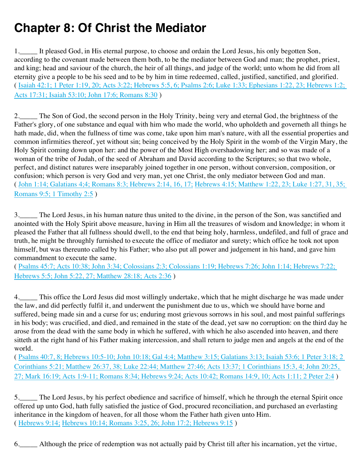# <span id="page-12-0"></span>**Chapter 8: Of Christ the Mediator**

1.\_\_\_\_\_ It pleased God, in His eternal purpose, to choose and ordain the Lord Jesus, his only begotten Son, according to the covenant made between them both, to be the mediator between God and man; the prophet, priest, and king; head and saviour of the church, the heir of all things, and judge of the world; unto whom he did from all eternity give a people to be his seed and to be by him in time redeemed, called, justified, sanctified, and glorified. ( [Isaiah 42:1;](http://www.gospelcom.net/bible?language=English&version=NASB&passage=Isaiah+42:1) [1 Peter 1:19, 20;](http://www.gospelcom.net/bible?language=English&version=NASB&passage=1Peter+1:19-20) [Acts 3:22;](http://www.gospelcom.net/bible?language=English&version=NASB&passage=Acts+3:22) [Hebrews 5:5, 6;](http://www.gospelcom.net/bible?language=English&version=NASB&passage=Hebrews+5:5-6) [Psalms 2:6;](http://www.gospelcom.net/bible?language=English&version=NASB&passage=Psalms+2:6) [Luke 1:33;](http://www.gospelcom.net/bible?language=English&version=NASB&passage=Luke+1:33) [Ephesians 1:22, 23;](http://www.gospelcom.net/bible?language=English&version=NASB&passage=Ephesians+1:22-23) [Hebrews 1:2;](http://www.gospelcom.net/bible?language=English&version=NASB&passage=Hebrews+1:2) [Acts 17:31;](http://www.gospelcom.net/bible?language=English&version=NASB&passage=Acts+17:31) [Isaiah 53:10;](http://www.gospelcom.net/bible?language=English&version=NASB&passage=Isaiah+53:10) [John 17:6;](http://www.gospelcom.net/bible?language=English&version=NASB&passage=John+17:6) [Romans 8:30](http://www.gospelcom.net/bible?language=English&version=NASB&passage=Romans+8:30) )

2. The Son of God, the second person in the Holy Trinity, being very and eternal God, the brightness of the Father's glory, of one substance and equal with him who made the world, who upholdeth and governeth all things he hath made, did, when the fullness of time was come, take upon him man's nature, with all the essential properties and common infirmities thereof, yet without sin; being conceived by the Holy Spirit in the womb of the Virgin Mary, the Holy Spirit coming down upon her: and the power of the Most High overshadowing her; and so was made of a woman of the tribe of Judah, of the seed of Abraham and David according to the Scriptures; so that two whole, perfect, and distinct natures were inseparably joined together in one person, without conversion, composition, or confusion; which person is very God and very man, yet one Christ, the only mediator between God and man. ( [John 1:14;](http://www.gospelcom.net/bible?language=English&version=NASB&passage=John+1:14) [Galatians 4;4;](http://www.gospelcom.net/bible?language=English&version=NASB&passage=Galatians+4;4) [Romans 8:3;](http://www.gospelcom.net/bible?language=English&version=NASB&passage=Romans+8:3) [Hebrews 2:14, 16, 17;](http://www.gospelcom.net/bible?language=English&version=NASB&passage=Hebrews+2:14-17) [Hebrews 4:15;](http://www.gospelcom.net/bible?language=English&version=NASB&passage=Hebrews+4:15) [Matthew 1:22, 23;](http://www.gospelcom.net/bible?language=English&version=NASB&passage=Matthew+1:22-23) [Luke 1:27, 31, 35;](http://www.gospelcom.net/bible?language=English&version=NASB&passage=Luke+1:27-35)  [Romans 9:5;](http://www.gospelcom.net/bible?language=English&version=NASB&passage=Romans+9:5) [1 Timothy 2:5](http://www.gospelcom.net/bible?language=English&version=NASB&passage=1Timothy+2:5) )

3.\_\_\_\_\_ The Lord Jesus, in his human nature thus united to the divine, in the person of the Son, was sanctified and anointed with the Holy Spirit above measure, having in Him all the treasures of wisdom and knowledge; in whom it pleased the Father that all fullness should dwell, to the end that being holy, harmless, undefiled, and full of grace and truth, he might be throughly furnished to execute the office of mediator and surety; which office he took not upon himself, but was thereunto called by his Father; who also put all power and judgement in his hand, and gave him commandment to execute the same.

( [Psalms 45:7;](http://www.gospelcom.net/bible?language=English&version=NASB&passage=Psalms+45:7) [Acts 10:38;](http://www.gospelcom.net/bible?language=English&version=NASB&passage=Acts+10:38) [John 3:34;](http://www.gospelcom.net/bible?language=English&version=NASB&passage=John+3:34) [Colossians 2:3;](http://www.gospelcom.net/bible?language=English&version=NASB&passage=Colossians+2:3) [Colossians 1:19;](http://www.gospelcom.net/bible?language=English&version=NASB&passage=Colossians+1:19) [Hebrews 7:26;](http://www.gospelcom.net/bible?language=English&version=NASB&passage=Hebrews+7:26) [John 1:14;](http://www.gospelcom.net/bible?language=English&version=NASB&passage=John+1:14) [Hebrews 7:22;](http://www.gospelcom.net/bible?language=English&version=NASB&passage=Hebrews+7:22) [Hebrews 5:5;](http://www.gospelcom.net/bible?language=English&version=NASB&passage=Hebrews+5:5) [John 5:22, 27;](http://www.gospelcom.net/bible?language=English&version=NASB&passage=John+5:22-27) [Matthew 28:18;](http://www.gospelcom.net/bible?language=English&version=NASB&passage=Matthew+28:18) [Acts 2:36](http://www.gospelcom.net/bible?language=English&version=NASB&passage=Acts+2:36) )

4. This office the Lord Jesus did most willingly undertake, which that he might discharge he was made under the law, and did perfectly fulfil it, and underwent the punishment due to us, which we should have borne and suffered, being made sin and a curse for us; enduring most grievous sorrows in his soul, and most painful sufferings in his body; was crucified, and died, and remained in the state of the dead, yet saw no corruption: on the third day he arose from the dead with the same body in which he suffered, with which he also ascended into heaven, and there sitteth at the right hand of his Father making intercession, and shall return to judge men and angels at the end of the world.

( [Psalms 40:7, 8;](http://www.gospelcom.net/bible?language=English&version=NASB&passage=Psalms+40:7-8) [Hebrews 10:5-10;](http://www.gospelcom.net/bible?language=English&version=NASB&passage=Hebrews+10:5-10) [John 10:18;](http://www.gospelcom.net/bible?language=English&version=NASB&passage=John+10:18) [Gal 4:4;](http://www.gospelcom.net/bible?language=English&version=NASB&passage=Galatians+4:4) [Matthew 3:15;](http://www.gospelcom.net/bible?language=English&version=NASB&passage=Matthew+3:15) [Galatians 3:13;](http://www.gospelcom.net/bible?language=English&version=NASB&passage=Galatians+3:13) [Isaiah 53:6;](http://www.gospelcom.net/bible?language=English&version=NASB&passage=Isaiah+53:6) [1 Peter 3:18;](http://www.gospelcom.net/bible?language=English&version=NASB&passage=1Peter+3:18) [2](http://www.gospelcom.net/bible?language=English&version=NASB&passage=2Corinthians+5:21) [Corinthians 5:21;](http://www.gospelcom.net/bible?language=English&version=NASB&passage=2Corinthians+5:21) [Matthew 26:37, 38;](http://www.gospelcom.net/bible?language=English&version=NASB&passage=Matthew+26:37-38) [Luke 22:44;](http://www.gospelcom.net/bible?language=English&version=NASB&passage=Luke+22:44) [Matthew 27:46;](http://www.gospelcom.net/bible?language=English&version=NASB&passage=Matthew+27:46) [Acts 13:37;](http://www.gospelcom.net/bible?language=English&version=NASB&passage=Acts+13:37) [1 Corinthians 15:3, 4;](http://www.gospelcom.net/bible?language=English&version=NASB&passage=1Corinthians+15:3-4) [John 20:25,](http://www.gospelcom.net/bible?language=English&version=NASB&passage=John+20:25-27) [27;](http://www.gospelcom.net/bible?language=English&version=NASB&passage=John+20:25-27) [Mark 16:19;](http://www.gospelcom.net/bible?language=English&version=NASB&passage=Mark+16:19) [Acts 1:9-11;](http://www.gospelcom.net/bible?language=English&version=NASB&passage=Acts+1:9-11) [Romans 8:34;](http://www.gospelcom.net/bible?language=English&version=NASB&passage=Romans+8:34) [Hebrews 9:24;](http://www.gospelcom.net/bible?language=English&version=NASB&passage=Hebrews+9:24) [Acts 10:42;](http://www.gospelcom.net/bible?language=English&version=NASB&passage=Acts+10:42) [Romans 14:9, 10;](http://www.gospelcom.net/bible?language=English&version=NASB&passage=Romans+14:9-10) [Acts 1:11;](http://www.gospelcom.net/bible?language=English&version=NASB&passage=Acts+1:11) [2 Peter 2:4](http://www.gospelcom.net/bible?language=English&version=NASB&passage=2Peter+2:4) )

5.\_\_\_\_\_ The Lord Jesus, by his perfect obedience and sacrifice of himself, which he through the eternal Spirit once offered up unto God, hath fully satisfied the justice of God, procured reconciliation, and purchased an everlasting inheritance in the kingdom of heaven, for all those whom the Father hath given unto Him. ( [Hebrews 9:14;](http://www.gospelcom.net/bible?language=English&version=NASB&passage=Hebrews+9:14) [Hebrews 10:14;](http://www.gospelcom.net/bible?language=English&version=NASB&passage=Hebrews+10:14) [Romans 3:25, 26;](http://www.gospelcom.net/bible?language=English&version=NASB&passage=Romans+3:25-26) [John 17:2;](http://www.gospelcom.net/bible?language=English&version=NASB&passage=John+17:2) [Hebrews 9:15](http://www.gospelcom.net/bible?language=English&version=NASB&passage=Hebrews+9:15) )

6.\_\_\_\_\_ Although the price of redemption was not actually paid by Christ till after his incarnation, yet the virtue,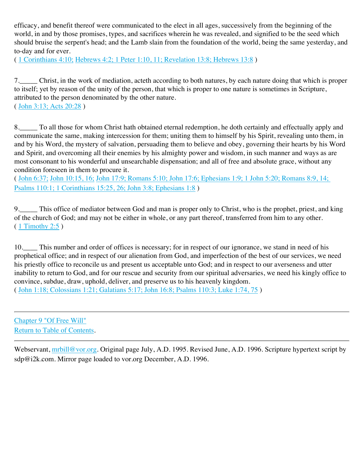efficacy, and benefit thereof were communicated to the elect in all ages, successively from the beginning of the world, in and by those promises, types, and sacrifices wherein he was revealed, and signified to be the seed which should bruise the serpent's head; and the Lamb slain from the foundation of the world, being the same yesterday, and to-day and for ever.

( [1 Corinthians 4:10;](http://www.gospelcom.net/bible?language=English&version=NASB&passage=1Corinthians+4:10) [Hebrews 4:2;](http://www.gospelcom.net/bible?language=English&version=NASB&passage=Hebrews+4:2) [1 Peter 1:10, 11;](http://www.gospelcom.net/bible?language=English&version=NASB&passage=1Peter+1:10-11) [Revelation 13:8;](http://www.gospelcom.net/bible?language=English&version=NASB&passage=Revelation+13:8) [Hebrews 13:8](http://www.gospelcom.net/bible?language=English&version=NASB&passage=Hebrews+13:8) )

7.\_\_\_\_\_ Christ, in the work of mediation, acteth according to both natures, by each nature doing that which is proper to itself; yet by reason of the unity of the person, that which is proper to one nature is sometimes in Scripture, attributed to the person denominated by the other nature. ( [John 3:13;](http://www.gospelcom.net/bible?language=English&version=NASB&passage=John+3:13) [Acts 20:28](http://www.gospelcom.net/bible?language=English&version=NASB&passage=Acts+20:28) )

8. To all those for whom Christ hath obtained eternal redemption, he doth certainly and effectually apply and communicate the same, making intercession for them; uniting them to himself by his Spirit, revealing unto them, in and by his Word, the mystery of salvation, persuading them to believe and obey, governing their hearts by his Word and Spirit, and overcoming all their enemies by his almighty power and wisdom, in such manner and ways as are most consonant to his wonderful and unsearchable dispensation; and all of free and absolute grace, without any condition foreseen in them to procure it.

( [John 6:37;](http://www.gospelcom.net/bible?language=English&version=NASB&passage=John+6:37) [John 10:15, 16;](http://www.gospelcom.net/bible?language=English&version=NASB&passage=John+10:15-16) [John 17:9;](http://www.gospelcom.net/bible?language=English&version=NASB&passage=John+17:9) [Romans 5:10;](http://www.gospelcom.net/bible?language=English&version=NASB&passage=Romans+5:10) [John 17:6;](http://www.gospelcom.net/bible?language=English&version=NASB&passage=John+17:6) [Ephesians 1:9;](http://www.gospelcom.net/bible?language=English&version=NASB&passage=Ephesians+1:9) [1 John 5:20;](http://www.gospelcom.net/bible?language=English&version=NASB&passage=1John+5:20) [Romans 8:9, 14;](http://www.gospelcom.net/bible?language=English&version=NASB&passage=Romans+8:9-14) [Psalms 110:1;](http://www.gospelcom.net/bible?language=English&version=NASB&passage=Psalms+110:1) [1 Corinthians 15:25, 26;](http://www.gospelcom.net/bible?language=English&version=NASB&passage=1Corinthians+15:25-26) [John 3:8;](http://www.gospelcom.net/bible?language=English&version=NASB&passage=John+3:8) [Ephesians 1:8](http://www.gospelcom.net/bible?language=English&version=NASB&passage=Ephesians+1:8) )

9. This office of mediator between God and man is proper only to Christ, who is the prophet, priest, and king of the church of God; and may not be either in whole, or any part thereof, transferred from him to any other. ( [1 Timothy 2:5](http://www.gospelcom.net/bible?language=English&version=NASB&passage=1Timothy+2:5) )

10. This number and order of offices is necessary; for in respect of our ignorance, we stand in need of his prophetical office; and in respect of our alienation from God, and imperfection of the best of our services, we need his priestly office to reconcile us and present us acceptable unto God; and in respect to our averseness and utter inability to return to God, and for our rescue and security from our spiritual adversaries, we need his kingly office to convince, subdue, draw, uphold, deliver, and preserve us to his heavenly kingdom. ( [John 1:18;](http://www.gospelcom.net/bible?language=English&version=NASB&passage=John+1:18) [Colossians 1:21;](http://www.gospelcom.net/bible?language=English&version=NASB&passage=Colossians+1:21) [Galatians 5:17;](http://www.gospelcom.net/bible?language=English&version=NASB&passage=Galatians+5:17) [John 16:8;](http://www.gospelcom.net/bible?language=English&version=NASB&passage=John+16:8) [Psalms 110:3;](http://www.gospelcom.net/bible?language=English&version=NASB&passage=Psalms+110:3) [Luke 1:74, 75](http://www.gospelcom.net/bible?language=English&version=NASB&passage=Luke+1:74-75) )

[Chapter 9 "Of Free Will"](#page-14-0) [Return to Table of Contents.](#page-0-0)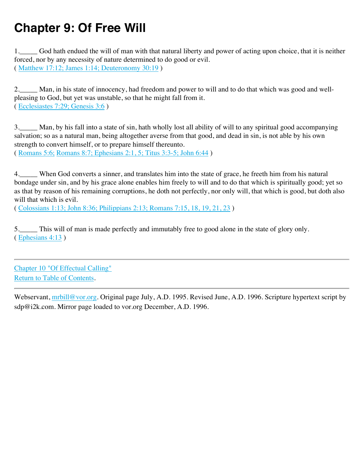#### <span id="page-14-0"></span>**Chapter 9: Of Free Will**

1.\_\_\_\_\_ God hath endued the will of man with that natural liberty and power of acting upon choice, that it is neither forced, nor by any necessity of nature determined to do good or evil. ( [Matthew 17:12;](http://www.gospelcom.net/bible?language=English&version=NASB&passage=Matthew+17:12) [James 1:14;](http://www.gospelcom.net/bible?language=English&version=NASB&passage=James+1:14) [Deuteronomy 30:19](http://www.gospelcom.net/bible?language=English&version=NASB&passage=Deuteronomy+30:19) )

2.\_\_\_\_\_ Man, in his state of innocency, had freedom and power to will and to do that which was good and wellpleasing to God, but yet was unstable, so that he might fall from it. ( [Ecclesiastes 7:29;](http://www.gospelcom.net/bible?language=English&version=NASB&passage=Ecclesiastes+7:29) [Genesis 3:6](http://www.gospelcom.net/bible?language=English&version=NASB&passage=Genesis+3:6) )

3.\_\_\_\_\_ Man, by his fall into a state of sin, hath wholly lost all ability of will to any spiritual good accompanying salvation; so as a natural man, being altogether averse from that good, and dead in sin, is not able by his own strength to convert himself, or to prepare himself thereunto. ( [Romans 5:6;](http://www.gospelcom.net/bible?language=English&version=NASB&passage=Romans+5:6) [Romans 8:7;](http://www.gospelcom.net/bible?language=English&version=NASB&passage=Romans+8:7) [Ephesians 2:1, 5;](http://www.gospelcom.net/bible?language=English&version=NASB&passage=Ephesians+2:1-5) [Titus 3:3-5;](http://www.gospelcom.net/bible?language=English&version=NASB&passage=Titus+3:3-5) [John 6:44](http://www.gospelcom.net/bible?language=English&version=NASB&passage=John+6:44) )

4. When God converts a sinner, and translates him into the state of grace, he freeth him from his natural bondage under sin, and by his grace alone enables him freely to will and to do that which is spiritually good; yet so as that by reason of his remaining corruptions, he doth not perfectly, nor only will, that which is good, but doth also will that which is evil.

( [Colossians 1:13;](http://www.gospelcom.net/bible?language=English&version=NASB&passage=Colossians+1:13) [John 8:36;](http://www.gospelcom.net/bible?language=English&version=NASB&passage=John+8:36) [Philippians 2:13;](http://www.gospelcom.net/bible?language=English&version=NASB&passage=Philippians+2:13) [Romans 7:15, 18, 19, 21, 23](http://www.gospelcom.net/bible?language=English&version=NASB&passage=Romans+7:15-23) )

5. This will of man is made perfectly and immutably free to good alone in the state of glory only. ( [Ephesians 4:13](http://www.gospelcom.net/bible?language=English&version=NASB&passage=Ephesians+4:13) )

[Chapter 10 "Of Effectual Calling"](#page-15-0) [Return to Table of Contents.](#page-0-0)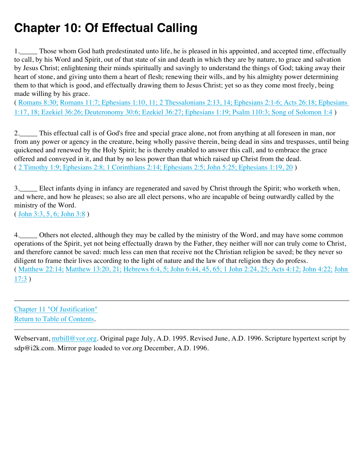# <span id="page-15-0"></span>**Chapter 10: Of Effectual Calling**

1. Those whom God hath predestinated unto life, he is pleased in his appointed, and accepted time, effectually to call, by his Word and Spirit, out of that state of sin and death in which they are by nature, to grace and salvation by Jesus Christ; enlightening their minds spiritually and savingly to understand the things of God; taking away their heart of stone, and giving unto them a heart of flesh; renewing their wills, and by his almighty power determining them to that which is good, and effectually drawing them to Jesus Christ; yet so as they come most freely, being made willing by his grace.

( [Romans 8:30;](http://www.gospelcom.net/bible?language=English&version=NASB&passage=Romans+8:30) [Romans 11:7;](http://www.gospelcom.net/bible?language=English&version=NASB&passage=Romans+11:7) [Ephesians 1:10, 11;](http://www.gospelcom.net/bible?language=English&version=NASB&passage=Ephesians+1:10-11) [2 Thessalonians 2:13, 14;](http://www.gospelcom.net/bible?language=English&version=NASB&passage=2Thessalonians+2:13-14) [Ephesians 2:1-6;](http://www.gospelcom.net/bible?language=English&version=NASB&passage=Ephesians+2:1-6) [Acts 26:18;](http://www.gospelcom.net/bible?language=English&version=NASB&passage=Acts+26:18) [Ephesians](http://www.gospelcom.net/bible?language=English&version=NASB&passage=Ephesians+1:17-18)  [1:17, 18;](http://www.gospelcom.net/bible?language=English&version=NASB&passage=Ephesians+1:17-18) [Ezekiel 36:26;](http://www.gospelcom.net/bible?language=English&version=NASB&passage=Ezekiel+36:26) [Deuteronomy 30:6;](http://www.gospelcom.net/bible?language=English&version=NASB&passage=Deuteronomy+30:6) [Ezekiel 36:27;](http://www.gospelcom.net/bible?language=English&version=NASB&passage=Ezekiel+36:27) [Ephesians 1:19;](http://www.gospelcom.net/bible?language=English&version=NASB&passage=Ephesians+1:19) [Psalm 110:3;](http://www.gospelcom.net/bible?language=English&version=NASB&passage=Psalms+110:3) [Song of Solomon 1:4](http://www.gospelcom.net/bible?language=English&version=NASB&passage=Song+0f+Slomon+1:4) )

2.\_\_\_\_\_ This effectual call is of God's free and special grace alone, not from anything at all foreseen in man, nor from any power or agency in the creature, being wholly passive therein, being dead in sins and trespasses, until being quickened and renewed by the Holy Spirit; he is thereby enabled to answer this call, and to embrace the grace offered and conveyed in it, and that by no less power than that which raised up Christ from the dead. ( [2 Timothy 1:9;](http://www.gospelcom.net/bible?language=English&version=NASB&passage=2Timothy+1:9) [Ephesians 2:8;](http://www.gospelcom.net/bible?language=English&version=NASB&passage=Ephesians+2:8) [1 Corinthians 2:14;](http://www.gospelcom.net/bible?language=English&version=NASB&passage=1Corinthians+2:14) [Ephesians 2:5;](http://www.gospelcom.net/bible?language=English&version=NASB&passage=Ephesians+2:5) [John 5:25;](http://www.gospelcom.net/bible?language=English&version=NASB&passage=John+5:25) [Ephesians 1:19, 20](http://www.gospelcom.net/bible?language=English&version=NASB&passage=Ephesians+1:19-20) )

3.\_\_\_\_\_ Elect infants dying in infancy are regenerated and saved by Christ through the Spirit; who worketh when, and where, and how he pleases; so also are all elect persons, who are incapable of being outwardly called by the ministry of the Word. ( [John 3:3, 5, 6;](http://www.gospelcom.net/bible?language=English&version=NASB&passage=John+3:3-6) [John 3:8](http://www.gospelcom.net/bible?language=English&version=NASB&passage=John+3:8) )

4. Others not elected, although they may be called by the ministry of the Word, and may have some common operations of the Spirit, yet not being effectually drawn by the Father, they neither will nor can truly come to Christ, and therefore cannot be saved: much less can men that receive not the Christian religion be saved; be they never so diligent to frame their lives according to the light of nature and the law of that religion they do profess. ( [Matthew 22:14;](http://www.gospelcom.net/bible?language=English&version=NASB&passage=Matthew+22:14) [Matthew 13:20, 21;](http://www.gospelcom.net/bible?language=English&version=NASB&passage=Matthew+13:20-21) [Hebrews 6:4, 5;](http://www.gospelcom.net/bible?language=English&version=NASB&passage=Hebrews+6:4-5) [John 6:44, 45, 65;](http://www.gospelcom.net/bible?language=English&version=NASB&passage=John+6:44-65) [1 John 2:24, 25;](http://www.gospelcom.net/bible?language=English&version=NASB&passage=1John+2:24-25) [Acts 4:12;](http://www.gospelcom.net/bible?language=English&version=NASB&passage=Acts+4:12) [John 4:22;](http://www.gospelcom.net/bible?language=English&version=NASB&passage=John+4:22) [John](http://www.gospelcom.net/bible?language=English&version=NASB&passage=John+17:3)

```
17:3 )
```

```
Chapter 11 "Of Justification"
Return to Table of Contents.
```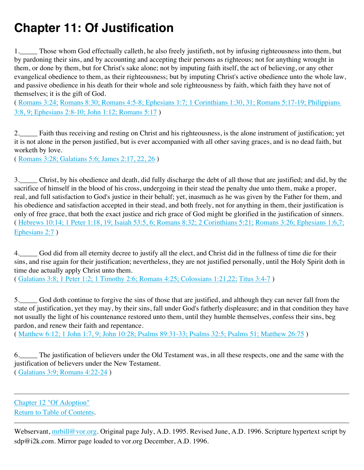# <span id="page-16-0"></span>**Chapter 11: Of Justification**

1. Those whom God effectually calleth, he also freely justifieth, not by infusing righteousness into them, but by pardoning their sins, and by accounting and accepting their persons as righteous; not for anything wrought in them, or done by them, but for Christ's sake alone; not by imputing faith itself, the act of believing, or any other evangelical obedience to them, as their righteousness; but by imputing Christ's active obedience unto the whole law, and passive obedience in his death for their whole and sole righteousness by faith, which faith they have not of themselves; it is the gift of God.

( [Romans 3:24;](http://www.gospelcom.net/bible?language=English&version=NASB&passage=Romans+3:24) [Romans 8:30;](http://www.gospelcom.net/bible?language=English&version=NASB&passage=Romans+8:30) [Romans 4:5-8;](http://www.gospelcom.net/bible?language=English&version=NASB&passage=Romans+4:5-8) [Ephesians 1:7;](http://www.gospelcom.net/bible?language=English&version=NASB&passage=Ephesians+1:7) [1 Corinthians 1:30, 31;](http://www.gospelcom.net/bible?language=English&version=NASB&passage=1Corinthians+1:30-31) [Romans 5:17-19;](http://www.gospelcom.net/bible?language=English&version=NASB&passage=Romans+5:17-19) [Philippians](http://www.gospelcom.net/bible?language=English&version=NASB&passage=Philippians+3:8-9) [3:8, 9;](http://www.gospelcom.net/bible?language=English&version=NASB&passage=Philippians+3:8-9) [Ephesians 2:8-10;](http://www.gospelcom.net/bible?language=English&version=NASB&passage=Ephesians+2:8-10) [John 1:12;](http://www.gospelcom.net/bible?language=English&version=NASB&passage=John+1:12) [Romans 5:17](http://www.gospelcom.net/bible?language=English&version=NASB&passage=Romans+5:17) )

2.\_\_\_\_\_ Faith thus receiving and resting on Christ and his righteousness, is the alone instrument of justification; yet it is not alone in the person justified, but is ever accompanied with all other saving graces, and is no dead faith, but worketh by love.

( [Romans 3:28;](http://www.gospelcom.net/bible?language=English&version=NASB&passage=Romans+3:28) [Galatians 5:6;](http://www.gospelcom.net/bible?language=English&version=NASB&passage=Galatians+5:6) [James 2:17, 22, 26](http://www.gospelcom.net/bible?language=English&version=NASB&passage=James+2:17-26) )

3.\_\_\_\_\_ Christ, by his obedience and death, did fully discharge the debt of all those that are justified; and did, by the sacrifice of himself in the blood of his cross, undergoing in their stead the penalty due unto them, make a proper, real, and full satisfaction to God's justice in their behalf; yet, inasmuch as he was given by the Father for them, and his obedience and satisfaction accepted in their stead, and both freely, not for anything in them, their justification is only of free grace, that both the exact justice and rich grace of God might be glorified in the justification of sinners. ( [Hebrews 10:14;](http://www.gospelcom.net/bible?language=English&version=NASB&passage=Hebrews+10:14) [1 Peter 1:18, 19;](http://www.gospelcom.net/bible?language=English&version=NASB&passage=1Peter+1:18-19) [Isaiah 53:5, 6;](http://www.gospelcom.net/bible?language=English&version=NASB&passage=Isaiah+53:5-6) [Romans 8:32;](http://www.gospelcom.net/bible?language=English&version=NASB&passage=Romans+8:32) [2 Corinthians 5:21;](http://www.gospelcom.net/bible?language=English&version=NASB&passage=2Corinthians+5:21) [Romans 3:26;](http://www.gospelcom.net/bible?language=English&version=NASB&passage=Romans+3:26) [Ephesians 1:6,7;](http://www.gospelcom.net/bible?language=English&version=NASB&passage=Ephesians+1:6-7) [Ephesians 2:7](http://www.gospelcom.net/bible?Ephesians+2:7) )

4.\_\_\_\_\_ God did from all eternity decree to justify all the elect, and Christ did in the fullness of time die for their sins, and rise again for their justification; nevertheless, they are not justified personally, until the Holy Spirit doth in time due actually apply Christ unto them.

( [Galatians 3:8;](http://www.gospelcom.net/bible?language=English&version=NASB&passage=Galatians+3:8) [1 Peter 1:2;](http://www.gospelcom.net/bible?language=English&version=NASB&passage=1Peter+1:2) [1 Timothy 2:6;](http://www.gospelcom.net/bible?language=English&version=NASB&passage=1Timothy+2:6) [Romans 4:25;](http://www.gospelcom.net/bible?language=English&version=NASB&passage=Romans+4:25) Colossians 1:21,22; [Titus 3:4-7](http://www.gospelcom.net/bible?language=English&version=NASB&passage=Titus+3:4-7) )

5.\_\_\_\_\_ God doth continue to forgive the sins of those that are justified, and although they can never fall from the state of justification, yet they may, by their sins, fall under God's fatherly displeasure; and in that condition they have not usually the light of his countenance restored unto them, until they humble themselves, confess their sins, beg pardon, and renew their faith and repentance.

( [Matthew 6:12;](http://www.gospelcom.net/bible?language=English&version=NASB&passage=Matthew+6:12) [1 John 1:7, 9;](http://www.gospelcom.net/bible?language=English&version=NASB&passage=1John+1:7-9) [John 10:28;](http://www.gospelcom.net/bible?language=English&version=NASB&passage=John+10:28) [Psalms 89:31-33;](http://www.gospelcom.net/bible?language=English&version=NASB&passage=Psalms+89:31-33) [Psalms 32:5;](http://www.gospelcom.net/bible?language=English&version=NASB&passage=Psalms+32:5) [Psalms 51;](http://www.gospelcom.net/bible?language=English&version=NASB&passage=Psalms+51) [Matthew 26:75](http://www.gospelcom.net/bible?language=English&version=NASB&passage=Matthew+26:75) )

6.\_\_\_\_\_ The justification of believers under the Old Testament was, in all these respects, one and the same with the justification of believers under the New Testament. ( [Galatians 3:9;](http://www.gospelcom.net/bible?language=English&version=NASB&passage=Galatians+3:9) [Romans 4:22-24](http://www.gospelcom.net/bible?language=English&version=NASB&passage=Romans+4:22-24) )

[Chapter 12 "Of Adoption"](#page-17-0) [Return to Table of Contents.](#page-0-0)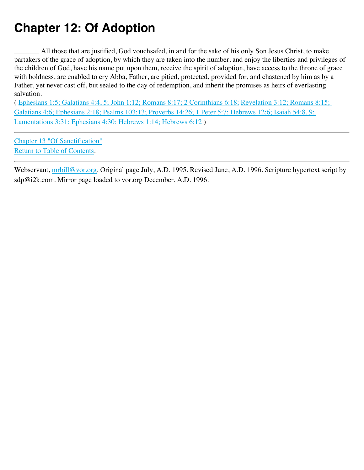#### <span id="page-17-0"></span>**Chapter 12: Of Adoption**

\_\_\_\_\_\_\_ All those that are justified, God vouchsafed, in and for the sake of his only Son Jesus Christ, to make partakers of the grace of adoption, by which they are taken into the number, and enjoy the liberties and privileges of the children of God, have his name put upon them, receive the spirit of adoption, have access to the throne of grace with boldness, are enabled to cry Abba, Father, are pitied, protected, provided for, and chastened by him as by a Father, yet never cast off, but sealed to the day of redemption, and inherit the promises as heirs of everlasting salvation.

( [Ephesians 1:5;](http://www.gospelcom.net/bible?language=English&version=NASB&passage=Ephesians+1:5) [Galatians 4:4, 5;](http://www.gospelcom.net/bible?language=English&version=NASB&passage=Galatians+4:4-5) [John 1:12;](http://www.gospelcom.net/bible?language=English&version=NASB&passage=John+1:12) [Romans 8:17;](http://www.gospelcom.net/bible?language=English&version=NASB&passage=Romans+8:17) [2 Corinthians 6:18;](http://www.gospelcom.net/bible?language=English&version=NASB&passage=2Corinthians+6:18) [Revelation 3:12;](http://www.gospelcom.net/bible?language=English&version=NASB&passage=Revelation+3:12) [Romans 8:15;](http://www.gospelcom.net/bible?language=English&version=NASB&passage=Romans+8:15) [Galatians 4:6;](http://www.gospelcom.net/bible?language=English&version=NASB&passage=Galatians+4:6) [Ephesians 2:18;](http://www.gospelcom.net/bible?language=English&version=NASB&passage=Ephesians+2:18) [Psalms 103:13;](http://www.gospelcom.net/bible?language=English&version=NASB&passage=Psalms+103:13) [Proverbs 14:26;](http://www.gospelcom.net/bible?language=English&version=NASB&passage=Proverbs+14:26) [1 Peter 5:7;](http://www.gospelcom.net/bible?language=English&version=NASB&passage=1Peter+5:7) [Hebrews 12:6;](http://www.gospelcom.net/bible?language=English&version=NASB&passage=Hebrews+12:6) [Isaiah 54:8, 9;](http://www.gospelcom.net/bible?language=English&version=NASB&passage=Isaiah+54:8-9) [Lamentations 3:31;](http://www.gospelcom.net/bible?language=English&version=NASB&passage=Lamentations+3:31) [Ephesians 4:30;](http://www.gospelcom.net/bible?language=English&version=NASB&passage=Ephesians+4:30) [Hebrews 1:14;](http://www.gospelcom.net/bible?language=English&version=NASB&passage=Hebrews+1:14) [Hebrews 6:12](http://www.gospelcom.net/bible?language=English&version=NASB&passage=Hebrews+6:12) )

[Chapter 13 "Of Sanctification"](#page-18-0) [Return to Table of Contents.](#page-0-0)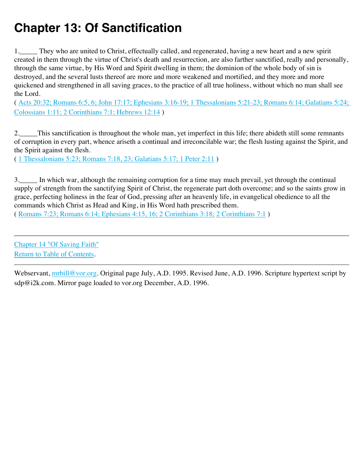# <span id="page-18-0"></span>**Chapter 13: Of Sanctification**

1.\_\_\_\_\_ They who are united to Christ, effectually called, and regenerated, having a new heart and a new spirit created in them through the virtue of Christ's death and resurrection, are also farther sanctified, really and personally, through the same virtue, by His Word and Spirit dwelling in them; the dominion of the whole body of sin is destroyed, and the several lusts thereof are more and more weakened and mortified, and they more and more quickened and strengthened in all saving graces, to the practice of all true holiness, without which no man shall see the Lord.

( [Acts 20:32;](http://www.gospelcom.net/bible?language=English&version=NASB&passage=Acts+20:32) [Romans 6:5, 6;](http://www.gospelcom.net/bible?language=English&version=NASB&passage=Romans+6:5-6) [John 17:17;](http://www.gospelcom.net/bible?language=English&version=NASB&passage=John+17:17) [Ephesians 3:16-19;](http://www.gospelcom.net/bible?language=English&version=NASB&passage=Ephesians+3:16-19) [1 Thessalonians 5:21-23;](http://www.gospelcom.net/bible?language=English&version=NASB&passage=1Thessalonians+5:21-23) [Romans 6:14;](http://www.gospelcom.net/bible?language=English&version=NASB&passage=Romans+6:14) [Galatians 5:24;](http://www.gospelcom.net/bible?language=English&version=NASB&passage=Galatians+5:24) [Colossians 1:11;](http://www.gospelcom.net/bible?language=English&version=NASB&passage=Colossians+1:11) [2 Corinthians 7:1;](http://www.gospelcom.net/bible?language=English&version=NASB&passage=2Corinthians+7:1) [Hebrews 12:14](http://www.gospelcom.net/bible?language=English&version=NASB&passage=Hebrews+12:14) )

2. This sanctification is throughout the whole man, yet imperfect in this life; there abideth still some remnants of corruption in every part, whence ariseth a continual and irreconcilable war; the flesh lusting against the Spirit, and the Spirit against the flesh.

( [1 Thessalonians 5:23;](http://www.gospelcom.net/bible?language=English&version=NASB&passage=1Thessalonians+5:23) [Romans 7:18, 23;](http://www.gospelcom.net/bible?language=English&version=NASB&passage=Romans+7:18-23) [Galatians 5:17;](http://www.gospelcom.net/bible?language=English&version=NASB&passage=Galatians+5:17) [1 Peter 2:11](http://www.gospelcom.net/bible?language=English&version=NASB&passage=1Peter+2:11) )

3.\_\_\_\_\_ In which war, although the remaining corruption for a time may much prevail, yet through the continual supply of strength from the sanctifying Spirit of Christ, the regenerate part doth overcome; and so the saints grow in grace, perfecting holiness in the fear of God, pressing after an heavenly life, in evangelical obedience to all the commands which Christ as Head and King, in His Word hath prescribed them. ( [Romans 7:23;](http://www.gospelcom.net/bible?language=English&version=NASB&passage=Romans+7:23) [Romans 6:14;](http://www.gospelcom.net/bible?language=English&version=NASB&passage=Romans+6:14) [Ephesians 4:15, 16;](http://www.gospelcom.net/bible?language=English&version=NASB&passage=Ephesians+4:15-16) [2 Corinthians 3:18;](http://www.gospelcom.net/bible?language=English&version=NASB&passage=2Corinthians+3:18) [2 Corinthians 7:1](http://www.gospelcom.net/bible?language=English&version=NASB&passage=2Corinthians+7:1) )

[Chapter 14 "Of Saving Faith"](#page-19-0) [Return to Table of Contents.](#page-0-0)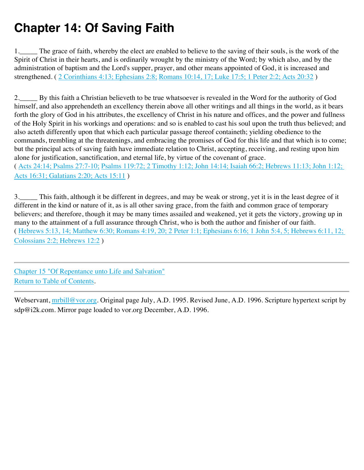# <span id="page-19-0"></span>**Chapter 14: Of Saving Faith**

1. The grace of faith, whereby the elect are enabled to believe to the saving of their souls, is the work of the Spirit of Christ in their hearts, and is ordinarily wrought by the ministry of the Word; by which also, and by the administration of baptism and the Lord's supper, prayer, and other means appointed of God, it is increased and strengthened. ( [2 Corinthians 4:13;](http://www.gospelcom.net/bible?language=English&version=NASB&passage=2Corinthians+4:13) [Ephesians 2:8;](http://www.gospelcom.net/bible?language=English&version=NASB&passage=Ephesians+2:8) [Romans 10:14, 17;](http://www.gospelcom.net/bible?language=English&version=NASB&passage=Romans+10:14-17) [Luke 17:5;](http://www.gospelcom.net/bible?language=English&version=NASB&passage=Luke+17:5) [1 Peter 2:2;](http://www.gospelcom.net/bible?language=English&version=NASB&passage=1Peter+2:2) [Acts 20:32](http://www.gospelcom.net/bible?language=English&version=NASB&passage=Acts+20:32) )

2.\_\_\_\_\_ By this faith a Christian believeth to be true whatsoever is revealed in the Word for the authority of God himself, and also apprehendeth an excellency therein above all other writings and all things in the world, as it bears forth the glory of God in his attributes, the excellency of Christ in his nature and offices, and the power and fullness of the Holy Spirit in his workings and operations: and so is enabled to cast his soul upon the truth thus believed; and also acteth differently upon that which each particular passage thereof containeth; yielding obedience to the commands, trembling at the threatenings, and embracing the promises of God for this life and that which is to come; but the principal acts of saving faith have immediate relation to Christ, accepting, receiving, and resting upon him alone for justification, sanctification, and eternal life, by virtue of the covenant of grace. ( [Acts 24:14;](http://www.gospelcom.net/bible?language=English&version=NASB&passage=Acts+24:14) [Psalms 27:7-10;](http://www.gospelcom.net/bible?language=English&version=NASB&passage=Psalms+27:7-10) [Psalms 119:72;](http://www.gospelcom.net/bible?language=English&version=NASB&passage=Psalms+119:72) [2 Timothy 1:12;](http://www.gospelcom.net/bible?language=English&version=NASB&passage=2Timothy+1:12) [John 14:14;](http://www.gospelcom.net/bible?language=English&version=NASB&passage=John+14:14) [Isaiah 66:2;](http://www.gospelcom.net/bible?language=English&version=NASB&passage=Isaiah+66:2) [Hebrews 11:13;](http://www.gospelcom.net/bible?language=English&version=NASB&passage=Hebrews+11:13) [John 1:12;](http://www.gospelcom.net/bible?language=English&version=NASB&passage=John+1:12) [Acts 16:31;](http://www.gospelcom.net/bible?language=English&version=NASB&passage=Acts+16:31) [Galatians 2:20;](http://www.gospelcom.net/bible?language=English&version=NASB&passage=Galatians+2:20) [Acts 15:11](http://www.gospelcom.net/bible?language=English&version=NASB&passage=Acts+15:11) )

3.\_\_\_\_\_ This faith, although it be different in degrees, and may be weak or strong, yet it is in the least degree of it different in the kind or nature of it, as is all other saving grace, from the faith and common grace of temporary believers; and therefore, though it may be many times assailed and weakened, yet it gets the victory, growing up in many to the attainment of a full assurance through Christ, who is both the author and finisher of our faith. ( [Hebrews 5:13, 14;](http://www.gospelcom.net/bible?language=English&version=NASB&passage=Hebrews+5:13-14) [Matthew 6:30;](http://www.gospelcom.net/bible?language=English&version=NASB&passage=Matthew+6:30) [Romans 4:19, 20;](http://www.gospelcom.net/bible?language=English&version=NASB&passage=Romans+4:19-20) [2 Peter 1:1;](http://www.gospelcom.net/bible?language=English&version=NASB&passage=2Peter+1:1) [Ephesians 6:16;](http://www.gospelcom.net/bible?language=English&version=NASB&passage=Ephesians+6:16) [1 John 5:4, 5;](http://www.gospelcom.net/bible?language=English&version=NASB&passage=1John+5:4-5) [Hebrews 6:11, 12;](http://www.gospelcom.net/bible?language=English&version=NASB&passage=Hebrews+6:11-12)  [Colossians 2:2;](http://www.gospelcom.net/bible?language=English&version=NASB&passage=Colossians+2:2) [Hebrews 12:2](http://www.gospelcom.net/bible?language=English&version=NASB&passage=Hebrews+12:2) )

[Chapter 15 "Of Repentance unto Life and Salvation"](#page-20-0) [Return to Table of Contents.](#page-0-0)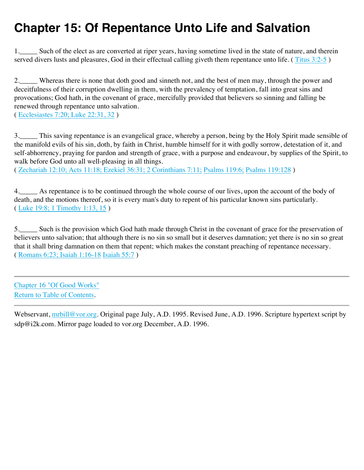#### <span id="page-20-0"></span>**Chapter 15: Of Repentance Unto Life and Salvation**

1. Such of the elect as are converted at riper years, having sometime lived in the state of nature, and therein served divers lusts and pleasures, God in their effectual calling giveth them repentance unto life. (Titus 3:2-5)

2. Whereas there is none that doth good and sinneth not, and the best of men may, through the power and deceitfulness of their corruption dwelling in them, with the prevalency of temptation, fall into great sins and provocations; God hath, in the covenant of grace, mercifully provided that believers so sinning and falling be renewed through repentance unto salvation. ( [Ecclesiastes 7:20;](http://www.gospelcom.net/bible?language=English&version=NASB&passage=Ecclesiastes+7:20) [Luke 22:31, 32](http://www.gospelcom.net/bible?language=English&version=NASB&passage=Luke+22:31-32) )

3.\_\_\_\_\_ This saving repentance is an evangelical grace, whereby a person, being by the Holy Spirit made sensible of the manifold evils of his sin, doth, by faith in Christ, humble himself for it with godly sorrow, detestation of it, and self-abhorrency, praying for pardon and strength of grace, with a purpose and endeavour, by supplies of the Spirit, to walk before God unto all well-pleasing in all things.

( [Zechariah 12:10;](http://www.gospelcom.net/bible?language=English&version=NASB&passage=Zechariah+12:10) [Acts 11:18;](http://www.gospelcom.net/bible?language=English&version=NASB&passage=Acts+11:18) [Ezekiel 36:31;](http://www.gospelcom.net/bible?language=English&version=NASB&passage=Ezekiel+36:31) [2 Corinthians 7:11;](http://www.gospelcom.net/bible?language=English&version=NASB&passage=2Corinthians+7:11) [Psalms 119:6;](http://www.gospelcom.net/bible?language=English&version=NASB&passage=Psalms+119:6) [Psalms 119:128](http://www.gospelcom.net/bible?language=English&version=NASB&passage=Psalms+119:128) )

4.\_\_\_\_\_ As repentance is to be continued through the whole course of our lives, upon the account of the body of death, and the motions thereof, so it is every man's duty to repent of his particular known sins particularly. ( [Luke 19:8;](http://www.gospelcom.net/bible?language=English&version=NASB&passage=Luke+19:8) [1 Timothy 1:13, 15](http://www.gospelcom.net/bible?language=English&version=NASB&passage=1Timothy+1:13-15) )

5. Such is the provision which God hath made through Christ in the covenant of grace for the preservation of believers unto salvation; that although there is no sin so small but it deserves damnation; yet there is no sin so great that it shall bring damnation on them that repent; which makes the constant preaching of repentance necessary. ( [Romans 6:23;](http://www.gospelcom.net/bible?language=English&version=NASB&passage=Romans+6:23) [Isaiah 1:16-18](http://www.gospelcom.net/bible?language=English&version=NASB&passage=Isaiah+1:16-18) [Isaiah 55:7](http://www.gospelcom.net/bible?language=English&version=NASB&passage=Isaiah+55:7) )

[Chapter 16 "Of Good Works"](#page-21-0) [Return to Table of Contents.](#page-0-0)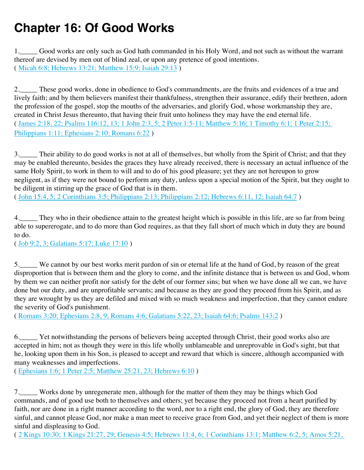### <span id="page-21-0"></span>**Chapter 16: Of Good Works**

1.\_\_\_\_\_ Good works are only such as God hath commanded in his Holy Word, and not such as without the warrant thereof are devised by men out of blind zeal, or upon any pretence of good intentions. ( [Micah 6:8;](http://www.gospelcom.net/bible?language=English&version=NASB&passage=Micah+6:8) [Hebrews 13:21;](http://www.gospelcom.net/bible?language=English&version=NASB&passage=Hebrews+13:21) [Matthew 15:9;](http://www.gospelcom.net/bible?language=English&version=NASB&passage=Matthew+15:9) [Isaiah 29:13](http://www.gospelcom.net/bible?language=English&version=NASB&passage=Isaiah+29:13) )

2.\_\_\_\_\_ These good works, done in obedience to God's commandments, are the fruits and evidences of a true and lively faith; and by them believers manifest their thankfulness, strengthen their assurance, edify their brethren, adorn the profession of the gospel, stop the mouths of the adversaries, and glorify God, whose workmanship they are, created in Christ Jesus thereunto, that having their fruit unto holiness they may have the end eternal life. ( [James 2:18, 22;](http://www.gospelcom.net/bible?language=English&version=NASB&passage=James+2:18-22) [Psalms 116:12, 13;](http://www.gospelcom.net/bible?language=English&version=NASB&passage=Psalms+116:12-13) [1 John 2:3, 5;](http://www.gospelcom.net/bible?language=English&version=NASB&passage=1John+2:3-5) [2 Peter 1:5-11;](http://www.gospelcom.net/bible?language=English&version=NASB&passage=2Peter+1:5-11) [Matthew 5:16;](http://www.gospelcom.net/bible?language=English&version=NASB&passage=Matthew+5:16) [1 Timothy 6:1;](http://www.gospelcom.net/bible?language=English&version=NASB&passage=1Timothy+6:1) [1 Peter 2:15;](http://www.gospelcom.net/bible?language=English&version=NASB&passage=1Peter+2:15) [Philippians 1:11;](http://www.gospelcom.net/bible?language=English&version=NASB&passage=Philippians+1:11) [Ephesians 2:10;](http://www.gospelcom.net/bible?language=English&version=NASB&passage=Ephesians+2:10) [Romans 6:22](http://www.gospelcom.net/bible?language=English&version=NASB&passage=Romans+6:22) )

3.\_\_\_\_\_ Their ability to do good works is not at all of themselves, but wholly from the Spirit of Christ; and that they may be enabled thereunto, besides the graces they have already received, there is necessary an actual influence of the same Holy Spirit, to work in them to will and to do of his good pleasure; yet they are not hereupon to grow negligent, as if they were not bound to perform any duty, unless upon a special motion of the Spirit, but they ought to be diligent in stirring up the grace of God that is in them.

( [John 15:4, 5;](http://www.gospelcom.net/bible?language=English&version=NASB&passage=John+15:4-5) [2 Corinthians 3:5;](http://www.gospelcom.net/bible?language=English&version=NASB&passage=2Corinthians+3:5) [Philippians 2:13;](http://www.gospelcom.net/bible?language=English&version=NASB&passage=Philippians+2:13) [Philippians 2:12;](http://www.gospelcom.net/bible?language=English&version=NASB&passage=Philippians+2:12) [Hebrews 6:11, 12;](http://www.gospelcom.net/bible?language=English&version=NASB&passage=Hebrews+6:11-12) [Isaiah 64:7](http://www.gospelcom.net/bible?language=English&version=NASB&passage=Isaiah+64:7) )

4.\_\_\_\_\_ They who in their obedience attain to the greatest height which is possible in this life, are so far from being able to supererogate, and to do more than God requires, as that they fall short of much which in duty they are bound to do.

( [Job 9:2, 3;](http://www.gospelcom.net/bible?language=English&version=NASB&passage=Job+9:2-3) [Galatians 5:17;](http://www.gospelcom.net/bible?language=English&version=NASB&passage=Galatians+5:17) [Luke 17:10](http://www.gospelcom.net/bible?language=English&version=NASB&passage=Luke+17:10) )

5.\_\_\_\_\_ We cannot by our best works merit pardon of sin or eternal life at the hand of God, by reason of the great disproportion that is between them and the glory to come, and the infinite distance that is between us and God, whom by them we can neither profit nor satisfy for the debt of our former sins; but when we have done all we can, we have done but our duty, and are unprofitable servants; and because as they are good they proceed from his Spirit, and as they are wrought by us they are defiled and mixed with so much weakness and imperfection, that they cannot endure the severity of God's punishment.

( [Romans 3:20;](http://www.gospelcom.net/bible?language=English&version=NASB&passage=Romans+3:20) [Ephesians 2:8, 9;](http://www.gospelcom.net/bible?language=English&version=NASB&passage=Ephesians+2:8-9) [Romans 4:6;](http://www.gospelcom.net/bible?language=English&version=NASB&passage=Romans+4:6) [Galatians 5:22, 23;](http://www.gospelcom.net/bible?language=English&version=NASB&passage=Galatians+5:22-23) [Isaiah 64:6;](http://www.gospelcom.net/bible?language=English&version=NASB&passage=Isaiah+64:6) [Psalms 143:2](http://www.gospelcom.net/bible?language=English&version=NASB&passage=Psalms+143:2) )

6. Yet notwithstanding the persons of believers being accepted through Christ, their good works also are accepted in him; not as though they were in this life wholly unblameable and unreprovable in God's sight, but that he, looking upon them in his Son, is pleased to accept and reward that which is sincere, although accompanied with many weaknesses and imperfections.

( [Ephesians 1:6;](http://www.gospelcom.net/bible?language=English&version=NASB&passage=Ephesians+1:6) [1 Peter 2:5;](http://www.gospelcom.net/bible?language=English&version=NASB&passage=1Peter+2:5) [Matthew 25:21, 23;](http://www.gospelcom.net/bible?language=English&version=NASB&passage=Matthew+25:21-23) [Hebrews 6:10](http://www.gospelcom.net/bible?language=English&version=NASB&passage=Hebrews+6:10) )

7.\_\_\_\_\_ Works done by unregenerate men, although for the matter of them they may be things which God commands, and of good use both to themselves and others; yet because they proceed not from a heart purified by faith, nor are done in a right manner according to the word, nor to a right end, the glory of God, they are therefore sinful, and cannot please God, nor make a man meet to receive grace from God, and yet their neglect of them is more sinful and displeasing to God.

( [2 Kings 10:30;](http://www.gospelcom.net/bible?language=English&version=NASB&passage=2Kings+10:30) [1 Kings 21:27, 29;](http://www.gospelcom.net/bible?language=English&version=NASB&passage=1Kings+21:27-29) [Genesis 4:5;](http://www.gospelcom.net/bible?language=English&version=NASB&passage=Genesis+4:5) [Hebrews 11:4, 6;](http://www.gospelcom.net/bible?language=English&version=NASB&passage=Hebrews+11:4-6) [1 Corinthians 13:1;](http://www.gospelcom.net/bible?language=English&version=NASB&passage=1Corinthians+13:1) [Matthew 6:2, 5;](http://www.gospelcom.net/bible?language=English&version=NASB&passage=Matthew+6:2-5) [Amos 5:21,](http://www.gospelcom.net/bible?language=English&version=NASB&passage=Amos+5:21-22)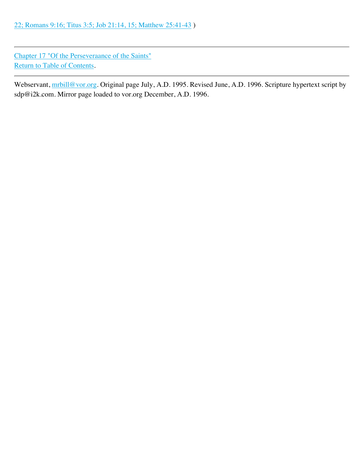[Chapter 17 "Of the Perseveraance of the Saints"](#page-23-0) [Return to Table of Contents.](#page-0-0)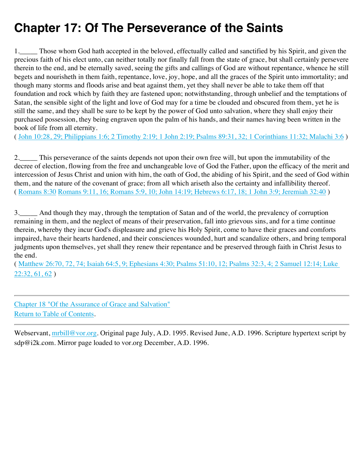### <span id="page-23-0"></span>**Chapter 17: Of The Perseverance of the Saints**

1. Those whom God hath accepted in the beloved, effectually called and sanctified by his Spirit, and given the precious faith of his elect unto, can neither totally nor finally fall from the state of grace, but shall certainly persevere therein to the end, and be eternally saved, seeing the gifts and callings of God are without repentance, whence he still begets and nourisheth in them faith, repentance, love, joy, hope, and all the graces of the Spirit unto immortality; and though many storms and floods arise and beat against them, yet they shall never be able to take them off that foundation and rock which by faith they are fastened upon; notwithstanding, through unbelief and the temptations of Satan, the sensible sight of the light and love of God may for a time be clouded and obscured from them, yet he is still the same, and they shall be sure to be kept by the power of God unto salvation, where they shall enjoy their purchased possession, they being engraven upon the palm of his hands, and their names having been written in the book of life from all eternity.

( [John 10:28, 29;](http://www.gospelcom.net/bible?language=English&version=NASB&passage=John+10:28-29) [Philippians 1:6;](http://www.gospelcom.net/bible?language=English&version=NASB&passage=Philippians+1:6) [2 Timothy 2:19;](http://www.gospelcom.net/bible?language=English&version=NASB&passage=2Timothy+2:19) [1 John 2:19;](http://www.gospelcom.net/bible?language=English&version=NASB&passage=1John+2:19) [Psalms 89:31, 32;](http://www.gospelcom.net/bible?language=English&version=NASB&passage=Psalms+89:31-32) [1 Corinthians 11:32;](http://www.gospelcom.net/bible?language=English&version=NASB&passage=1Corinthians+11:32) [Malachi 3:6](http://www.gospelcom.net/bible?language=English&version=NASB&passage=Malachi+3:6) )

2. This perseverance of the saints depends not upon their own free will, but upon the immutability of the decree of election, flowing from the free and unchangeable love of God the Father, upon the efficacy of the merit and intercession of Jesus Christ and union with him, the oath of God, the abiding of his Spirit, and the seed of God within them, and the nature of the covenant of grace; from all which ariseth also the certainty and infallibility thereof. ( [Romans 8:30](http://www.gospelcom.net/bible?language=English&version=NASB&passage=Romans+8:30) [Romans 9:11, 16;](http://www.gospelcom.net/bible?language=English&version=NASB&passage=Romans+9:11-16) [Romans 5:9, 10;](http://www.gospelcom.net/bible?language=English&version=NASB&passage=Romans+5:9-10) [John 14:19;](http://www.gospelcom.net/bible?language=English&version=NASB&passage=John+14:19) [Hebrews 6:17, 18;](http://www.gospelcom.net/bible?language=English&version=NASB&passage=Hebrews+6:17-18) [1 John 3:9;](http://www.gospelcom.net/bible?language=English&version=NASB&passage=1John+3:9) [Jeremiah 32:40](http://www.gospelcom.net/bible?language=English&version=NASB&passage=Jeremiah+32:40) )

3.\_\_\_\_\_ And though they may, through the temptation of Satan and of the world, the prevalency of corruption remaining in them, and the neglect of means of their preservation, fall into grievous sins, and for a time continue therein, whereby they incur God's displeasure and grieve his Holy Spirit, come to have their graces and comforts impaired, have their hearts hardened, and their consciences wounded, hurt and scandalize others, and bring temporal judgments upon themselves, yet shall they renew their repentance and be preserved through faith in Christ Jesus to the end.

( [Matthew 26:70, 72, 74;](http://www.gospelcom.net/bible?language=English&version=NASB&passage=Matthew+26:70-74) [Isaiah 64:5, 9;](http://www.gospelcom.net/bible?language=English&version=NASB&passage=Isaiah+64:5-9) [Ephesians 4:30;](http://www.gospelcom.net/bible?language=English&version=NASB&passage=Ephesians+4:30) [Psalms 51:10, 12;](http://www.gospelcom.net/bible?language=English&version=NASB&passage=Psalms+51:10-12) [Psalms 32:3, 4;](http://www.gospelcom.net/bible?language=English&version=NASB&passage=Psalms+32:3-4) [2 Samuel 12:14;](http://www.gospelcom.net/bible?language=English&version=NASB&passage=2Samuel+12:14) [Luke](http://www.gospelcom.net/bible?language=English&version=NASB&passage=Luke+22:32-62)  [22:32, 61, 62](http://www.gospelcom.net/bible?language=English&version=NASB&passage=Luke+22:32-62) )

[Chapter 18 "Of the Assurance of Grace and Salvation"](#page-24-0) [Return to Table of Contents.](#page-0-0)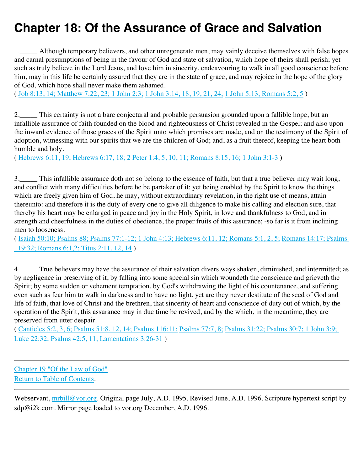#### <span id="page-24-0"></span>**Chapter 18: Of the Assurance of Grace and Salvation**

1. Although temporary believers, and other unregenerate men, may vainly deceive themselves with false hopes and carnal presumptions of being in the favour of God and state of salvation, which hope of theirs shall perish; yet such as truly believe in the Lord Jesus, and love him in sincerity, endeavouring to walk in all good conscience before him, may in this life be certainly assured that they are in the state of grace, and may rejoice in the hope of the glory of God, which hope shall never make them ashamed.

( [Job 8:13, 14;](http://www.gospelcom.net/bible?language=English&version=NASB&passage=Job+8:13-14) [Matthew 7:22, 23;](http://www.gospelcom.net/bible?language=English&version=NASB&passage=Matthew+7:22-23) [1 John 2:3;](http://www.gospelcom.net/bible?language=English&version=NASB&passage=1John+2:3) [1 John 3:14, 18, 19, 21, 24;](http://www.gospelcom.net/bible?language=English&version=NASB&passage=1John+3:14-24) [1 John 5:13;](http://www.gospelcom.net/bible?language=English&version=NASB&passage=1John+5:13) [Romans 5:2, 5](http://www.gospelcom.net/bible?language=English&version=NASB&passage=Romans+5:2-5) )

2.\_\_\_\_\_ This certainty is not a bare conjectural and probable persuasion grounded upon a fallible hope, but an infallible assurance of faith founded on the blood and righteousness of Christ revealed in the Gospel; and also upon the inward evidence of those graces of the Spirit unto which promises are made, and on the testimony of the Spirit of adoption, witnessing with our spirits that we are the children of God; and, as a fruit thereof, keeping the heart both humble and holy.

( [Hebrews 6:11, 19;](http://www.gospelcom.net/bible?language=English&version=NASB&passage=Hebrews+6:11-19) [Hebrews 6:17, 18;](http://www.gospelcom.net/bible?language=English&version=NASB&passage=Hebrews+6:17-18) [2 Peter 1:4, 5, 10, 11;](http://www.gospelcom.net/bible?language=English&version=NASB&passage=2Peter+1:4-11) [Romans 8:15, 16;](http://www.gospelcom.net/bible?language=English&version=NASB&passage=Romans+8:15-16) [1 John 3:1-3](http://www.gospelcom.net/bible?language=English&version=NASB&passage=1John+3:1-3) )

3.\_\_\_\_\_ This infallible assurance doth not so belong to the essence of faith, but that a true believer may wait long, and conflict with many difficulties before he be partaker of it; yet being enabled by the Spirit to know the things which are freely given him of God, he may, without extraordinary revelation, in the right use of means, attain thereunto: and therefore it is the duty of every one to give all diligence to make his calling and election sure, that thereby his heart may be enlarged in peace and joy in the Holy Spirit, in love and thankfulness to God, and in strength and cheerfulness in the duties of obedience, the proper fruits of this assurance; -so far is it from inclining men to looseness.

( [Isaiah 50:10;](http://www.gospelcom.net/bible?language=English&version=NASB&passage=Isaiah+50:10) [Psalms 88;](http://www.gospelcom.net/bible?language=English&version=NASB&passage=Psalms+88) [Psalms 77:1-12;](http://www.gospelcom.net/bible?language=English&version=NASB&passage=Psalms+77:1-12) [1 John 4:13;](http://www.gospelcom.net/bible?language=English&version=NASB&passage=1John+4:13) [Hebrews 6:11, 12;](http://www.gospelcom.net/bible?language=English&version=NASB&passage=Hebrews+6:11-12) [Romans 5:1, 2, 5;](http://www.gospelcom.net/bible?language=English&version=NASB&passage=Romans+5:1-5) [Romans 14:17;](http://www.gospelcom.net/bible?language=English&version=NASB&passage=Romans+14:17) [Psalms](http://www.gospelcom.net/bible?language=English&version=NASB&passage=Psalms+119:32) [119:32;](http://www.gospelcom.net/bible?language=English&version=NASB&passage=Psalms+119:32) [Romans 6:1,2;](http://www.gospelcom.net/bible?language=English&version=NASB&passage=Romans+6:1-2) [Titus 2:11, 12, 14](http://www.gospelcom.net/bible?language=English&version=NASB&passage=Titus+2:11-14) )

4.\_\_\_\_\_ True believers may have the assurance of their salvation divers ways shaken, diminished, and intermitted; as by negligence in preserving of it, by falling into some special sin which woundeth the conscience and grieveth the Spirit; by some sudden or vehement temptation, by God's withdrawing the light of his countenance, and suffering even such as fear him to walk in darkness and to have no light, yet are they never destitute of the seed of God and life of faith, that love of Christ and the brethren, that sincerity of heart and conscience of duty out of which, by the operation of the Spirit, this assurance may in due time be revived, and by the which, in the meantime, they are preserved from utter despair.

( [Canticles 5:2, 3, 6;](http://www.gospelcom.net/bible?language=English&version=NASB&passage=Song+of+Solomon+5:2-6) [Psalms 51:8, 12, 14;](http://www.gospelcom.net/bible?language=English&version=NASB&passage=Psalms+51:8-14) [Psalms 116:11;](http://www.gospelcom.net/bible?language=English&version=NASB&passage=Psalms+116:11) [Psalms 77:7, 8;](http://www.gospelcom.net/bible?language=English&version=NASB&passage=Psalms+77:7-8) [Psalms 31:22;](http://www.gospelcom.net/bible?language=English&version=NASB&passage=Psalms+31:22) [Psalms 30:7;](http://www.gospelcom.net/bible?language=English&version=NASB&passage=Psalms+30:7) [1 John 3:9;](http://www.gospelcom.net/bible?language=English&version=NASB&passage=1John+3:9) [Luke 22:32;](http://www.gospelcom.net/bible?language=English&version=NASB&passage=Luke+22:32) [Psalms 42:5, 11;](http://www.gospelcom.net/bible?language=English&version=NASB&passage=Psalms+42:5-11) [Lamentations 3:26-31](http://www.gospelcom.net/bible?language=English&version=NASB&passage=Lamentations+3:26-31) )

[Chapter 19 "Of the Law of God"](#page-25-0) [Return to Table of Contents.](#page-0-0)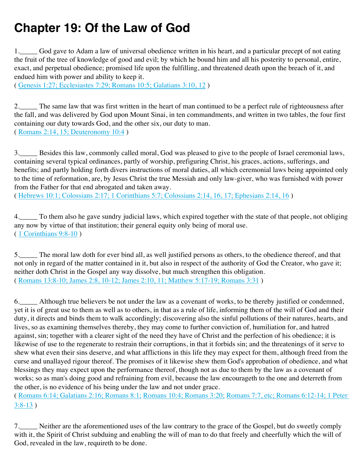## <span id="page-25-0"></span>**Chapter 19: Of the Law of God**

1.\_\_\_\_\_ God gave to Adam a law of universal obedience written in his heart, and a particular precept of not eating the fruit of the tree of knowledge of good and evil; by which he bound him and all his posterity to personal, entire, exact, and perpetual obedience; promised life upon the fulfilling, and threatened death upon the breach of it, and endued him with power and ability to keep it.

( [Genesis 1:27;](http://www.gospelcom.net/bible?language=English&version=NASB&passage=Genesis+1:27) [Ecclesiastes 7:29;](http://www.gospelcom.net/bible?language=English&version=NASB&passage=Ecclesiastes+7:29) [Romans 10:5;](http://www.gospelcom.net/bible?language=English&version=NASB&passage=Romans+10:5) [Galatians 3:10, 12](http://www.gospelcom.net/bible?language=English&version=NASB&passage=Galatians+3:10-12) )

2.\_\_\_\_\_ The same law that was first written in the heart of man continued to be a perfect rule of righteousness after the fall, and was delivered by God upon Mount Sinai, in ten commandments, and written in two tables, the four first containing our duty towards God, and the other six, our duty to man. ( [Romans 2:14, 15;](http://www.gospelcom.net/bible?language=English&version=NASB&passage=Romans+2:14-15) [Deuteronomy 10:4](http://www.gospelcom.net/bible?language=English&version=NASB&passage=Deuteronomy+10:4) )

3.\_\_\_\_\_ Besides this law, commonly called moral, God was pleased to give to the people of Israel ceremonial laws, containing several typical ordinances, partly of worship, prefiguring Christ, his graces, actions, sufferings, and benefits; and partly holding forth divers instructions of moral duties, all which ceremonial laws being appointed only to the time of reformation, are, by Jesus Christ the true Messiah and only law-giver, who was furnished with power from the Father for that end abrogated and taken away.

( [Hebrews 10:1;](http://www.gospelcom.net/bible?language=English&version=NASB&passage=Hebrews+10:1) [Colossians 2:17;](http://www.gospelcom.net/bible?language=English&version=NASB&passage=Colossians+2:17) [1 Corinthians 5:7;](http://www.gospelcom.net/bible?language=English&version=NASB&passage=1Corinthians+5:7) [Colossians 2:14, 16, 17;](http://www.gospelcom.net/bible?language=English&version=NASB&passage=Colossians+2:14-17) [Ephesians 2:14, 16](http://www.gospelcom.net/bible?language=English&version=NASB&passage=Ephesians+2:14) )

4.\_\_\_\_\_ To them also he gave sundry judicial laws, which expired together with the state of that people, not obliging any now by virtue of that institution; their general equity only being of moral use. ( [1 Corinthians 9:8-10](http://www.gospelcom.net/bible?language=English&version=NASB&passage=1Corinthians+9:8-10) )

5.\_\_\_\_\_ The moral law doth for ever bind all, as well justified persons as others, to the obedience thereof, and that not only in regard of the matter contained in it, but also in respect of the authority of God the Creator, who gave it; neither doth Christ in the Gospel any way dissolve, but much strengthen this obligation. ( [Romans 13:8-10;](http://www.gospelcom.net/bible?language=English&version=NASB&passage=Romans+13:8-10) [James 2:8, 10-12;](http://www.gospelcom.net/bible?language=English&version=NASB&passage=James+2:8-12) [James 2:10, 11;](http://www.gospelcom.net/bible?language=English&version=NASB&passage=James+2:10-11) [Matthew 5:17-19;](http://www.gospelcom.net/bible?language=English&version=NASB&passage=Matthew+5:17-19) [Romans 3:31](http://www.gospelcom.net/bible?language=English&version=NASB&passage=Romans+3:31) )

6.\_\_\_\_\_ Although true believers be not under the law as a covenant of works, to be thereby justified or condemned, yet it is of great use to them as well as to others, in that as a rule of life, informing them of the will of God and their duty, it directs and binds them to walk accordingly; discovering also the sinful pollutions of their natures, hearts, and lives, so as examining themselves thereby, they may come to further conviction of, humiliation for, and hatred against, sin; together with a clearer sight of the need they have of Christ and the perfection of his obedience; it is likewise of use to the regenerate to restrain their corruptions, in that it forbids sin; and the threatenings of it serve to shew what even their sins deserve, and what afflictions in this life they may expect for them, although freed from the curse and unallayed rigour thereof. The promises of it likewise shew them God's approbation of obedience, and what blessings they may expect upon the performance thereof, though not as due to them by the law as a covenant of works; so as man's doing good and refraining from evil, because the law encourageth to the one and deterreth from the other, is no evidence of his being under the law and not under grace.

( [Romans 6:14;](http://www.gospelcom.net/bible?language=English&version=NASB&passage=Romans+6:14) [Galatians 2:16;](http://www.gospelcom.net/bible?language=English&version=NASB&passage=Galatians+2:16) [Romans 8:1;](http://www.gospelcom.net/bible?language=English&version=NASB&passage=Romans+8:1) [Romans 10:4;](http://www.gospelcom.net/bible?language=English&version=NASB&passage=Romans+10:4) [Romans 3:20;](http://www.gospelcom.net/bible?language=English&version=NASB&passage=Romans+3:20) [Romans 7:7, etc;](http://www.gospelcom.net/bible?language=English&version=NASB&passage=Romans+7:7-12) [Romans 6:12-14;](http://www.gospelcom.net/bible?language=English&version=NASB&passage=Romans+6:12-14) [1 Peter](http://www.gospelcom.net/bible?language=English&version=NASB&passage=1Peter+3:8-13)  [3:8-13](http://www.gospelcom.net/bible?language=English&version=NASB&passage=1Peter+3:8-13) )

7.\_\_\_\_\_ Neither are the aforementioned uses of the law contrary to the grace of the Gospel, but do sweetly comply with it, the Spirit of Christ subduing and enabling the will of man to do that freely and cheerfully which the will of God, revealed in the law, requireth to be done.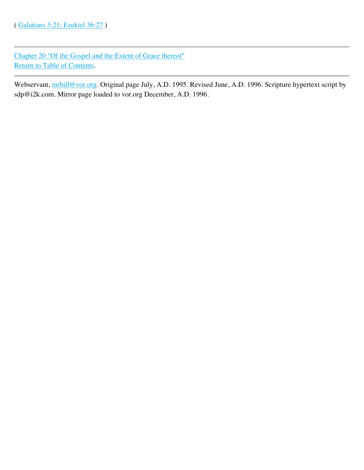[Chapter 20 "Of the Gospel and the Extent of Grace thereof"](#page-27-0) [Return to Table of Contents.](#page-0-0)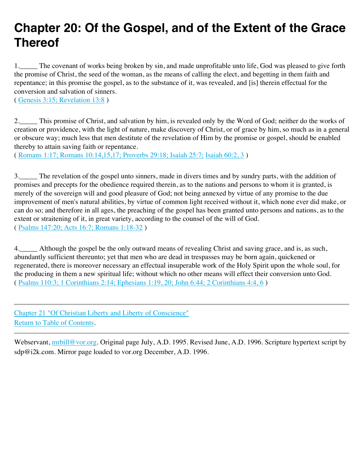#### <span id="page-27-0"></span>**Chapter 20: Of the Gospel, and of the Extent of the Grace Thereof**

1. The covenant of works being broken by sin, and made unprofitable unto life, God was pleased to give forth the promise of Christ, the seed of the woman, as the means of calling the elect, and begetting in them faith and repentance; in this promise the gospel, as to the substance of it, was revealed, and [is] therein effectual for the conversion and salvation of sinners.

( [Genesis 3:15;](http://www.gospelcom.net/bible?language=English&version=NASB&passage=Genesis+3:15) [Revelation 13:8](http://www.gospelcom.net/bible?language=English&version=NASB&passage=Revelation+13:8) )

2. This promise of Christ, and salvation by him, is revealed only by the Word of God; neither do the works of creation or providence, with the light of nature, make discovery of Christ, or of grace by him, so much as in a general or obscure way; much less that men destitute of the revelation of Him by the promise or gospel, should be enabled thereby to attain saving faith or repentance.

( [Romans 1:17;](http://www.gospelcom.net/bible?language=English&version=NASB&passage=Romans+1:17) [Romans 10:14,15,17;](http://www.gospelcom.net/bible?language=English&version=NASB&passage=Romans+10:14-17) [Proverbs 29:18;](http://www.gospelcom.net/bible?language=English&version=NASB&passage=Proverbs+29:18) [Isaiah 25:7;](http://www.gospelcom.net/bible?language=English&version=NASB&passage=Isaiah+25:7) [Isaiah 60:2, 3](http://www.gospelcom.net/bible?language=English&version=NASB&passage=Isaiah+60:2-3) )

3.\_\_\_\_\_ The revelation of the gospel unto sinners, made in divers times and by sundry parts, with the addition of promises and precepts for the obedience required therein, as to the nations and persons to whom it is granted, is merely of the sovereign will and good pleasure of God; not being annexed by virtue of any promise to the due improvement of men's natural abilities, by virtue of common light received without it, which none ever did make, or can do so; and therefore in all ages, the preaching of the gospel has been granted unto persons and nations, as to the extent or straitening of it, in great variety, according to the counsel of the will of God. ( [Psalms 147:20;](http://www.gospelcom.net/bible?language=English&version=NASB&passage=Psalms+147:20) [Acts 16:7;](http://www.gospelcom.net/bible?language=English&version=NASB&passage=Acts+16:7) [Romans 1:18-32](http://www.gospelcom.net/bible?language=English&version=NASB&passage=Romans+1:18-32) )

4.\_\_\_\_\_ Although the gospel be the only outward means of revealing Christ and saving grace, and is, as such, abundantly sufficient thereunto; yet that men who are dead in trespasses may be born again, quickened or regenerated, there is moreover necessary an effectual insuperable work of the Holy Spirit upon the whole soul, for the producing in them a new spiritual life; without which no other means will effect their conversion unto God. ( [Psalms 110:3;](http://www.gospelcom.net/bible?language=English&version=NASB&passage=Psalms+110:3) [1 Corinthians 2:14;](http://www.gospelcom.net/bible?language=English&version=NASB&passage=1Corinthians+2:14) [Ephesians 1:19, 20;](http://www.gospelcom.net/bible?language=English&version=NASB&passage=Ephesians+1:19-20) [John 6:44;](http://www.gospelcom.net/bible?language=English&version=NASB&passage=John+6:44) [2 Corinthians 4:4, 6](http://www.gospelcom.net/bible?language=English&version=NASB&passage=2Corinthians+4:4-6) )

[Chapter 21 "Of Christian Liberty and Liberty of Conscience"](#page-28-0) [Return to Table of Contents.](#page-0-0)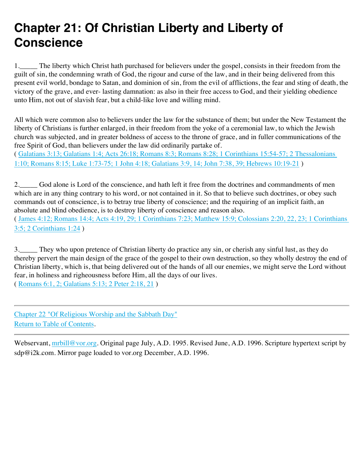#### <span id="page-28-0"></span>**Chapter 21: Of Christian Liberty and Liberty of Conscience**

1. The liberty which Christ hath purchased for believers under the gospel, consists in their freedom from the guilt of sin, the condemning wrath of God, the rigour and curse of the law, and in their being delivered from this present evil world, bondage to Satan, and dominion of sin, from the evil of afflictions, the fear and sting of death, the victory of the grave, and ever- lasting damnation: as also in their free access to God, and their yielding obedience unto Him, not out of slavish fear, but a child-like love and willing mind.

All which were common also to believers under the law for the substance of them; but under the New Testament the liberty of Christians is further enlarged, in their freedom from the yoke of a ceremonial law, to which the Jewish church was subjected, and in greater boldness of access to the throne of grace, and in fuller communications of the free Spirit of God, than believers under the law did ordinarily partake of. ( [Galatians 3:13;](http://www.gospelcom.net/bible?language=English&version=NASB&passage=Galatians+3:13) [Galatians 1:4;](http://www.gospelcom.net/bible?language=English&version=NASB&passage=Galatians+1:4) [Acts 26:18;](http://www.gospelcom.net/bible?language=English&version=NASB&passage=Acts+26:18) [Romans 8:3;](http://www.gospelcom.net/bible?language=English&version=NASB&passage=Romans+8:3) [Romans 8:28;](http://www.gospelcom.net/bible?language=English&version=NASB&passage=Romans+8:28) [1 Corinthians 15:54-57;](http://www.gospelcom.net/bible?language=English&version=NASB&passage=1Corinthians+15:54-57) [2 Thessalonians](http://www.gospelcom.net/bible?language=English&version=NASB&passage=2Thessalonians+1:10) [1:10;](http://www.gospelcom.net/bible?language=English&version=NASB&passage=2Thessalonians+1:10) [Romans 8:15;](http://www.gospelcom.net/bible?language=English&version=NASB&passage=Romans+8:15) [Luke 1:73-75;](http://www.gospelcom.net/bible?language=English&version=NASB&passage=Luke+1:73-75) [1 John 4:18;](http://www.gospelcom.net/bible?language=English&version=NASB&passage=1John+4:18) [Galatians 3:9, 14;](http://www.gospelcom.net/bible?language=English&version=NASB&passage=Galatians+3:9-14) [John 7:38, 39;](http://www.gospelcom.net/bible?language=English&version=NASB&passage=John+7:38-39) [Hebrews 10:19-21](http://www.gospelcom.net/bible?language=English&version=NASB&passage=Hebrews+10:19-21) )

2. God alone is Lord of the conscience, and hath left it free from the doctrines and commandments of men which are in any thing contrary to his word, or not contained in it. So that to believe such doctrines, or obey such commands out of conscience, is to betray true liberty of conscience; and the requiring of an implicit faith, an absolute and blind obedience, is to destroy liberty of conscience and reason also. ( [James 4:12;](http://www.gospelcom.net/bible?language=English&version=NASB&passage=James+4:12) [Romans 14:4;](http://www.gospelcom.net/bible?language=English&version=NASB&passage=Romans+14:4) [Acts 4:19, 29;](http://www.gospelcom.net/bible?language=English&version=NASB&passage=Acts+4:19-29) [1 Corinthians 7:23;](http://www.gospelcom.net/bible?language=English&version=NASB&passage=1Corinthians+7:23) [Matthew 15:9;](http://www.gospelcom.net/bible?language=English&version=NASB&passage=Matthew+15:9) [Colossians 2:20, 22, 23;](http://www.gospelcom.net/bible?language=English&version=NASB&passage=Colossians+2:20-23) [1 Corinthians](http://www.gospelcom.net/bible?language=English&version=NASB&passage=1Corinthians+3:5) [3:5;](http://www.gospelcom.net/bible?language=English&version=NASB&passage=1Corinthians+3:5) [2 Corinthians 1:24](http://www.gospelcom.net/bible?language=English&version=NASB&passage=2Corinthians+1:24) )

3.\_\_\_\_\_ They who upon pretence of Christian liberty do practice any sin, or cherish any sinful lust, as they do thereby pervert the main design of the grace of the gospel to their own destruction, so they wholly destroy the end of Christian liberty, which is, that being delivered out of the hands of all our enemies, we might serve the Lord without fear, in holiness and righeousness before Him, all the days of our lives. ( [Romans 6:1, 2;](http://www.gospelcom.net/bible?language=English&version=NASB&passage=Romans+6:1-2) [Galatians 5:13;](http://www.gospelcom.net/bible?language=English&version=NASB&passage=Galatians+5:13) [2 Peter 2:18, 21](http://www.gospelcom.net/bible?language=English&version=NASB&passage=2Peter+2:18-21) )

[Chapter 22 "Of Religious Worship and the Sabbath Day"](#page-29-0) [Return to Table of Contents.](#page-0-0)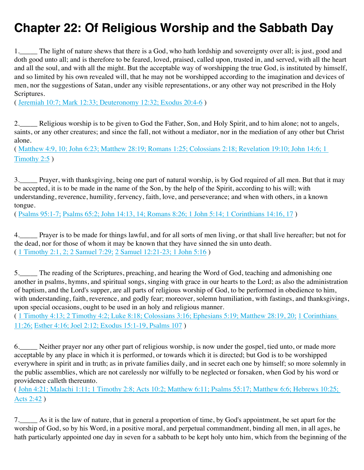## <span id="page-29-0"></span>**Chapter 22: Of Religious Worship and the Sabbath Day**

1. The light of nature shews that there is a God, who hath lordship and sovereignty over all; is just, good and doth good unto all; and is therefore to be feared, loved, praised, called upon, trusted in, and served, with all the heart and all the soul, and with all the might. But the acceptable way of worshipping the true God, is instituted by himself, and so limited by his own revealed will, that he may not be worshipped according to the imagination and devices of men, nor the suggestions of Satan, under any visible representations, or any other way not prescribed in the Holy Scriptures.

( [Jeremiah 10:7;](http://www.gospelcom.net/bible?language=English&version=NASB&passage=Jeremiah+10:7) [Mark 12:33;](http://www.gospelcom.net/bible?language=English&version=NASB&passage=Mark+12:33) [Deuteronomy 12:32;](http://www.gospelcom.net/bible?language=English&version=NASB&passage=Deuteronomy+12:32) [Exodus 20:4-6](http://www.gospelcom.net/bible?language=English&version=NASB&passage=Exodus+20:4-6) )

2. Religious worship is to be given to God the Father, Son, and Holy Spirit, and to him alone; not to angels, saints, or any other creatures; and since the fall, not without a mediator, nor in the mediation of any other but Christ alone.

( [Matthew 4:9, 10;](http://www.gospelcom.net/bible?language=English&version=NASB&passage=Matthew+4:9-10) [John 6:23;](http://www.gospelcom.net/bible?language=English&version=NASB&passage=John+6:23) [Matthew 28:19;](http://www.gospelcom.net/bible?language=English&version=NASB&passage=Matthew+28:19) [Romans 1:25;](http://www.gospelcom.net/bible?language=English&version=NASB&passage=Romans+1:25) [Colossians 2:18;](http://www.gospelcom.net/bible?language=English&version=NASB&passage=Colossians+2:18) [Revelation 19:10;](http://www.gospelcom.net/bible?language=English&version=NASB&passage=Revelation+19:10) [John 14:6;](http://www.gospelcom.net/bible?language=English&version=NASB&passage=John+14:6) [1](http://www.gospelcom.net/bible?language=English&version=NASB&passage=1Timothy+2:5)  [Timothy 2:5](http://www.gospelcom.net/bible?language=English&version=NASB&passage=1Timothy+2:5) )

3.\_\_\_\_\_ Prayer, with thanksgiving, being one part of natural worship, is by God required of all men. But that it may be accepted, it is to be made in the name of the Son, by the help of the Spirit, according to his will; with understanding, reverence, humility, fervency, faith, love, and perseverance; and when with others, in a known tongue.

( [Psalms 95:1-7;](http://www.gospelcom.net/bible?language=English&version=NASB&passage=Psalms+95:1-7) [Psalms 65:2;](http://www.gospelcom.net/bible?language=English&version=NASB&passage=Psalms+65:2) [John 14:13, 14;](http://www.gospelcom.net/bible?language=English&version=NASB&passage=John+14:13-14) [Romans 8:26;](http://www.gospelcom.net/bible?language=English&version=NASB&passage=Romans+8:26) [1 John 5:14;](http://www.gospelcom.net/bible?language=English&version=NASB&passage=1John+5:14) [1 Corinthians 14:16, 17](http://www.gospelcom.net/bible?language=English&version=NASB&passage=1Corinthians+14:16-17) )

4.\_\_\_\_\_ Prayer is to be made for things lawful, and for all sorts of men living, or that shall live hereafter; but not for the dead, nor for those of whom it may be known that they have sinned the sin unto death. ( [1 Timothy 2:1, 2;](http://www.gospelcom.net/bible?language=English&version=NASB&passage=1Timothy+2:1-2) [2 Samuel 7:29;](http://www.gospelcom.net/bible?language=English&version=NASB&passage=2Samuel+7:29) [2 Samuel 12:21-23;](http://www.gospelcom.net/bible?language=English&version=NASB&passage=2Samuel+12:21-23) [1 John 5:16](http://www.gospelcom.net/bible?language=English&version=NASB&passage=1John+5:16) )

5.\_\_\_\_\_ The reading of the Scriptures, preaching, and hearing the Word of God, teaching and admonishing one another in psalms, hymns, and spiritual songs, singing with grace in our hearts to the Lord; as also the administration of baptism, and the Lord's supper, are all parts of religious worship of God, to be performed in obedience to him, with understanding, faith, reverence, and godly fear; moreover, solemn humiliation, with fastings, and thanksgivings, upon special occasions, ought to be used in an holy and religious manner.

( [1 Timothy 4:13;](http://www.gospelcom.net/bible?language=English&version=NASB&passage=1Timothy+4:13) [2 Timothy 4:2;](http://www.gospelcom.net/bible?language=English&version=NASB&passage=2Timothy+4:2) [Luke 8:18;](http://www.gospelcom.net/bible?language=English&version=NASB&passage=Luke+8:18) [Colossians 3:16;](http://www.gospelcom.net/bible?language=English&version=NASB&passage=Colossians+3:16) [Ephesians 5:19;](http://www.gospelcom.net/bible?language=English&version=NASB&passage=Ephesians+5:19) [Matthew 28:19, 20;](http://www.gospelcom.net/bible?language=English&version=NASB&passage=Matthew+28:19-20) [1 Corinthians](http://www.gospelcom.net/bible?language=English&version=NASB&passage=1Corinthians+11:26)  [11:26;](http://www.gospelcom.net/bible?language=English&version=NASB&passage=1Corinthians+11:26) [Esther 4:16;](http://www.gospelcom.net/bible?language=English&version=NASB&passage=Esther+4:16) [Joel 2:12;](http://www.gospelcom.net/bible?language=English&version=NASB&passage=Joel+2:12) [Exodus 15:1-19,](http://www.gospelcom.net/bible?language=English&version=NASB&passage=Exodus+15:1-19) [Psalms 107](http://www.gospelcom.net/bible?language=English&version=NASB&passage=Psalms+107) )

6.\_\_\_\_\_ Neither prayer nor any other part of religious worship, is now under the gospel, tied unto, or made more acceptable by any place in which it is performed, or towards which it is directed; but God is to be worshipped everywhere in spirit and in truth; as in private families daily, and in secret each one by himself; so more solemnly in the public assemblies, which are not carelessly nor wilfully to be neglected or forsaken, when God by his word or providence calleth thereunto.

( [John 4:21;](http://www.gospelcom.net/bible?language=English&version=NASB&passage=John+4:21) [Malachi 1:11;](http://www.gospelcom.net/bible?language=English&version=NASB&passage=Malachi+1:11) [1 Timothy 2:8;](http://www.gospelcom.net/bible?language=English&version=NASB&passage=1Timothy+2:8) [Acts 10:2;](http://www.gospelcom.net/bible?language=English&version=NASB&passage=Acts+10:2) [Matthew 6:11;](http://www.gospelcom.net/bible?language=English&version=NASB&passage=Matthew+6:11) [Psalms 55:17;](http://www.gospelcom.net/bible?language=English&version=NASB&passage=Psalms+55:17) [Matthew 6:6;](http://www.gospelcom.net/bible?language=English&version=NASB&passage=Matthew+6:6) [Hebrews 10:25;](http://www.gospelcom.net/bible?language=English&version=NASB&passage=Hebrews+10:25)  [Acts 2:42](http://www.gospelcom.net/bible?language=English&version=NASB&passage=Acts+2:42) )

7.\_\_\_\_\_ As it is the law of nature, that in general a proportion of time, by God's appointment, be set apart for the worship of God, so by his Word, in a positive moral, and perpetual commandment, binding all men, in all ages, he hath particularly appointed one day in seven for a sabbath to be kept holy unto him, which from the beginning of the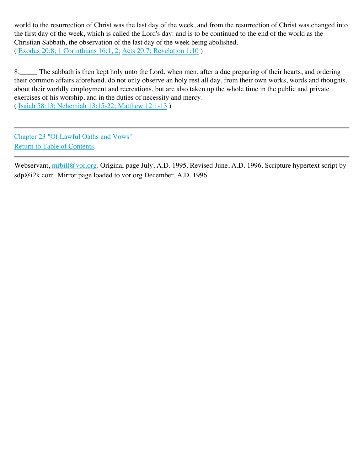world to the resurrection of Christ was the last day of the week, and from the resurrection of Christ was changed into the first day of the week, which is called the Lord's day: and is to be continued to the end of the world as the Christian Sabbath, the observation of the last day of the week being abolished. ( [Exodus 20:8;](http://www.gospelcom.net/bible?language=English&version=NASB&passage=Exodus+20:8) [1 Corinthians 16:1, 2;](http://www.gospelcom.net/bible?language=English&version=NASB&passage=1Corinthians+16:1-2) [Acts 20:7;](http://www.gospelcom.net/bible?language=English&version=NASB&passage=Acts+20:7) [Revelation 1:10](http://www.gospelcom.net/bible?language=English&version=NASB&passage=Revelation+1:10) )

8. The sabbath is then kept holy unto the Lord, when men, after a due preparing of their hearts, and ordering their common affairs aforehand, do not only observe an holy rest all day, from their own works, words and thoughts, about their worldly employment and recreations, but are also taken up the whole time in the public and private exercises of his worship, and in the duties of necessity and mercy. ( [Isaiah 58:13;](http://www.gospelcom.net/bible?language=English&version=NASB&passage=Isaiah+58:13) [Nehemiah 13:15-22;](http://www.gospelcom.net/bible?language=English&version=NASB&passage=Nehemiah+13:15-22) [Matthew 12:1-13](http://www.gospelcom.net/bible?language=English&version=NASB&passage=Matthew+12:1-13) )

[Chapter 23 "Of Lawful Oaths and Vows"](#page-31-0) [Return to Table of Contents.](#page-0-0)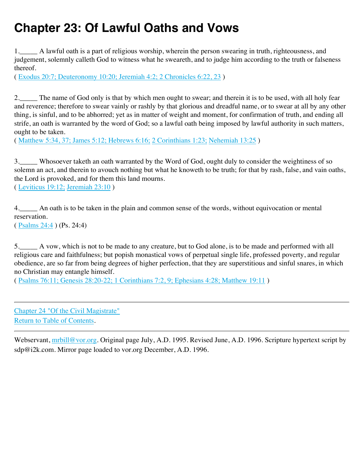## <span id="page-31-0"></span>**Chapter 23: Of Lawful Oaths and Vows**

1.\_\_\_\_\_ A lawful oath is a part of religious worship, wherein the person swearing in truth, righteousness, and judgement, solemnly calleth God to witness what he sweareth, and to judge him according to the truth or falseness thereof.

( [Exodus 20:7;](http://www.gospelcom.net/bible?language=English&version=NASB&passage=Exodus+20:7) [Deuteronomy 10:20;](http://www.gospelcom.net/bible?language=English&version=NASB&passage=Deuteronomy+10:20) [Jeremiah 4:2;](http://www.gospelcom.net/bible?language=English&version=NASB&passage=Jeremiah+4:2) [2 Chronicles 6:22, 23](http://www.gospelcom.net/bible?language=English&version=NASB&passage=2Chronicles+6:22-23) )

2.\_\_\_\_\_ The name of God only is that by which men ought to swear; and therein it is to be used, with all holy fear and reverence; therefore to swear vainly or rashly by that glorious and dreadful name, or to swear at all by any other thing, is sinful, and to be abhorred; yet as in matter of weight and moment, for confirmation of truth, and ending all strife, an oath is warranted by the word of God; so a lawful oath being imposed by lawful authority in such matters, ought to be taken.

( [Matthew 5:34, 37;](http://www.gospelcom.net/bible?language=English&version=NASB&passage=Matthew+5:34-37) [James 5:12;](http://www.gospelcom.net/bible?language=English&version=NASB&passage=James+5:12) [Hebrews 6:16;](http://www.gospelcom.net/bible?language=English&version=NASB&passage=Hebrews+6:16) [2 Corinthians 1:23;](http://www.gospelcom.net/bible?language=English&version=NASB&passage=2Corinthians+1:23) [Nehemiah 13:25](http://www.gospelcom.net/bible?language=English&version=NASB&passage=Nehemiah+13:25) )

3.\_\_\_\_\_ Whosoever taketh an oath warranted by the Word of God, ought duly to consider the weightiness of so solemn an act, and therein to avouch nothing but what he knoweth to be truth; for that by rash, false, and vain oaths, the Lord is provoked, and for them this land mourns.

( [Leviticus 19:12;](http://www.gospelcom.net/bible?language=English&version=NASB&passage=Leviticus+19:12) [Jeremiah 23:10](http://www.gospelcom.net/bible?language=English&version=NASB&passage=Jeremiah+23:10) )

4.\_\_\_\_\_ An oath is to be taken in the plain and common sense of the words, without equivocation or mental reservation.

( [Psalms 24:4](http://www.gospelcom.net/bible?language=English&version=NASB&passage=Psalms+24:4) ) (Ps. 24:4)

5.\_\_\_\_\_ A vow, which is not to be made to any creature, but to God alone, is to be made and performed with all religious care and faithfulness; but popish monastical vows of perpetual single life, professed poverty, and regular obedience, are so far from being degrees of higher perfection, that they are superstitious and sinful snares, in which no Christian may entangle himself.

( [Psalms 76:11;](http://www.gospelcom.net/bible?language=English&version=NASB&passage=Psalms+76:11) [Genesis 28:20-22;](http://www.gospelcom.net/bible?language=English&version=NASB&passage=Genesis+28:20-22) [1 Corinthians 7:2, 9;](http://www.gospelcom.net/bible?language=English&version=NASB&passage=1Corinthians+7:2-9) [Ephesians 4:28;](http://www.gospelcom.net/bible?language=English&version=NASB&passage=Ephesians+4:28) [Matthew 19:11](http://www.gospelcom.net/bible?language=English&version=NASB&passage=Matthew+19:11) )

[Chapter 24 "Of the Civil Magistrate"](#page-32-0) [Return to Table of Contents.](#page-0-0)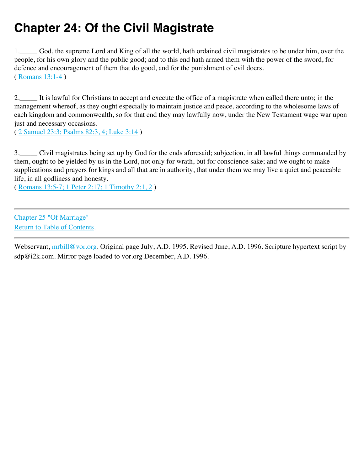## <span id="page-32-0"></span>**Chapter 24: Of the Civil Magistrate**

1.\_\_\_\_\_ God, the supreme Lord and King of all the world, hath ordained civil magistrates to be under him, over the people, for his own glory and the public good; and to this end hath armed them with the power of the sword, for defence and encouragement of them that do good, and for the punishment of evil doers. ( [Romans 13:1-4](http://www.gospelcom.net/bible?language=English&version=NASB&passage=Romans+13:1-4) )

2.\_\_\_\_\_ It is lawful for Christians to accept and execute the office of a magistrate when called there unto; in the management whereof, as they ought especially to maintain justice and peace, according to the wholesome laws of each kingdom and commonwealth, so for that end they may lawfully now, under the New Testament wage war upon just and necessary occasions.

( [2 Samuel 23:3;](http://www.gospelcom.net/bible?language=English&version=NASB&passage=2Samuel+23:3) [Psalms 82:3, 4;](http://www.gospelcom.net/bible?language=English&version=NASB&passage=Psalms+82:3-4) [Luke 3:14](http://www.gospelcom.net/bible?language=English&version=NASB&passage=Luke+3:14) )

3.\_\_\_\_\_ Civil magistrates being set up by God for the ends aforesaid; subjection, in all lawful things commanded by them, ought to be yielded by us in the Lord, not only for wrath, but for conscience sake; and we ought to make supplications and prayers for kings and all that are in authority, that under them we may live a quiet and peaceable life, in all godliness and honesty.

( [Romans 13:5-7;](http://www.gospelcom.net/bible?language=English&version=NASB&passage=Romans+13:5-7) [1 Peter 2:17;](http://www.gospelcom.net/bible?language=English&version=NASB&passage=1Peter+2:17) [1 Timothy 2:1, 2](http://www.gospelcom.net/bible?language=English&version=NASB&passage=1Timothy+2:1-2) )

[Chapter 25 "Of Marriage"](#page-33-0) [Return to Table of Contents.](#page-0-0)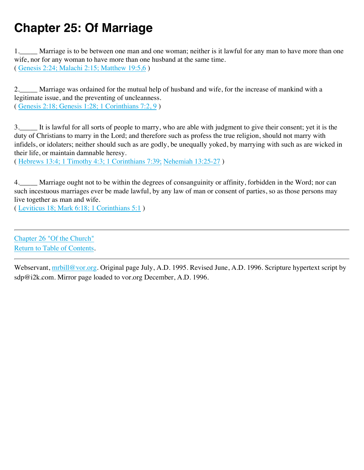#### <span id="page-33-0"></span>**Chapter 25: Of Marriage**

1.\_\_\_\_\_\_ Marriage is to be between one man and one woman; neither is it lawful for any man to have more than one wife, nor for any woman to have more than one husband at the same time. ( [Genesis 2:24;](http://www.gospelcom.net/bible?language=English&version=NASB&passage=Genesis+2:24) [Malachi 2:15;](http://www.gospelcom.net/bible?language=English&version=NASB&passage=Malachi+2:15) [Matthew 19:5,6](http://www.gospelcom.net/bible?language=English&version=NASB&passage=Matthew+19:5-6) )

2. Marriage was ordained for the mutual help of husband and wife, for the increase of mankind with a legitimate issue, and the preventing of uncleanness. ( [Genesis 2:18;](http://www.gospelcom.net/bible?language=English&version=NASB&passage=Genesis+2:18) [Genesis 1:28;](http://www.gospelcom.net/bible?language=English&version=NASB&passage=Genesis+1:28) [1 Corinthians 7:2, 9](http://www.gospelcom.net/bible?language=English&version=NASB&passage=1Corinthians+7:2-9) )

3.\_\_\_\_\_ It is lawful for all sorts of people to marry, who are able with judgment to give their consent; yet it is the duty of Christians to marry in the Lord; and therefore such as profess the true religion, should not marry with infidels, or idolaters; neither should such as are godly, be unequally yoked, by marrying with such as are wicked in their life, or maintain damnable heresy.

( [Hebrews 13:4;](http://www.gospelcom.net/bible?language=English&version=NASB&passage=Hebrews+13:4) [1 Timothy 4:3;](http://www.gospelcom.net/bible?language=English&version=NASB&passage=1Timothy+4:3) [1 Corinthians 7:39;](http://www.gospelcom.net/bible?language=English&version=NASB&passage=1Corinthians+7:39) [Nehemiah 13:25-27](http://www.gospelcom.net/bible?language=English&version=NASB&passage=Nehemiah+13:25-27) )

4.\_\_\_\_\_ Marriage ought not to be within the degrees of consanguinity or affinity, forbidden in the Word; nor can such incestuous marriages ever be made lawful, by any law of man or consent of parties, so as those persons may live together as man and wife.

( [Leviticus 18;](http://www.gospelcom.net/bible?language=English&version=NASB&passage=Leviticus+18) [Mark 6:18;](http://www.gospelcom.net/bible?language=English&version=NASB&passage=Mark+6:18) [1 Corinthians 5:1](http://www.gospelcom.net/bible?language=English&version=NASB&passage=1Corinthians+5:1) )

[Chapter 26 "Of the Church"](#page-34-0) [Return to Table of Contents.](#page-0-0)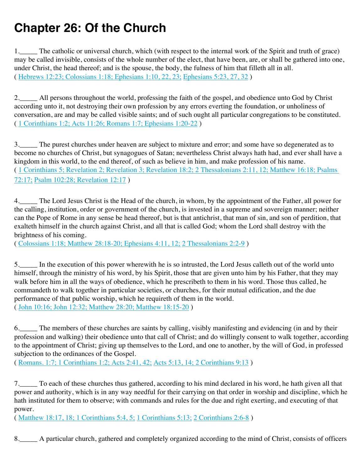# <span id="page-34-0"></span>**Chapter 26: Of the Church**

1. The catholic or universal church, which (with respect to the internal work of the Spirit and truth of grace) may be called invisible, consists of the whole number of the elect, that have been, are, or shall be gathered into one, under Christ, the head thereof; and is the spouse, the body, the fulness of him that filleth all in all. ( [Hebrews 12:23;](http://www.gospelcom.net/bible?language=English&version=NASB&passage=Hebrews+12:23) [Colossians 1:18;](http://www.gospelcom.net/bible?language=English&version=NASB&passage=Colossians+1:18) [Ephesians 1:10, 22, 23;](http://www.gospelcom.net/bible?language=English&version=NASB&passage=Ephesians+1:10-23) [Ephesians 5:23, 27, 32](http://www.gospelcom.net/bible?language=English&version=NASB&passage=Ephesians+5:23-32) )

2.\_\_\_\_\_ All persons throughout the world, professing the faith of the gospel, and obedience unto God by Christ according unto it, not destroying their own profession by any errors everting the foundation, or unholiness of conversation, are and may be called visible saints; and of such ought all particular congregations to be constituted. ( [1 Corinthians 1:2;](http://www.gospelcom.net/bible?language=English&version=NASB&passage=1Corinthians+1:2) [Acts 11:26;](http://www.gospelcom.net/bible?language=English&version=NASB&passage=Acts+11:26) [Romans 1:7;](http://www.gospelcom.net/bible?language=English&version=NASB&passage=Romans+1:7) [Ephesians 1:20-22](http://www.gospelcom.net/bible?language=English&version=NASB&passage=Ephesians+1:20-22) )

3.\_\_\_\_\_ The purest churches under heaven are subject to mixture and error; and some have so degenerated as to become no churches of Christ, but synagogues of Satan; nevertheless Christ always hath had, and ever shall have a kingdom in this world, to the end thereof, of such as believe in him, and make profession of his name. ( [1 Corinthians 5;](http://www.gospelcom.net/bible?language=English&version=NASB&passage=1Corinthians+5) [Revelation 2;](http://www.gospelcom.net/bible?language=English&version=NASB&passage=Revelation+2) [Revelation 3;](http://www.gospelcom.net/bible?language=English&version=NASB&passage=Revelation+3) [Revelation 18:2;](http://www.gospelcom.net/bible?language=English&version=NASB&passage=Revelation+18:2) [2 Thessalonians 2:11, 12;](http://www.gospelcom.net/bible?language=English&version=NASB&passage=2Thessalonians+2:11-12) [Matthew 16:18;](http://www.gospelcom.net/bible?language=English&version=NASB&passage=Matthew+16:18) [Psalms](http://www.gospelcom.net/bible?language=English&version=NASB&passage=Psalms+72:17)  [72:17;](http://www.gospelcom.net/bible?language=English&version=NASB&passage=Psalms+72:17) [Psalm 102:28;](http://www.gospelcom.net/bible?language=English&version=NASB&passage=Psalms+102:28) [Revelation 12:17](http://www.gospelcom.net/bible?language=English&version=NASB&passage=Revelation+12:17) )

4.\_\_\_\_\_ The Lord Jesus Christ is the Head of the church, in whom, by the appointment of the Father, all power for the calling, institution, order or government of the church, is invested in a supreme and sovereign manner; neither can the Pope of Rome in any sense be head thereof, but is that antichrist, that man of sin, and son of perdition, that exalteth himself in the church against Christ, and all that is called God; whom the Lord shall destroy with the brightness of his coming.

( [Colossians 1:18;](http://www.gospelcom.net/bible?language=English&version=NASB&passage=Colossians+1:18) [Matthew 28:18-20;](http://www.gospelcom.net/bible?language=English&version=NASB&passage=Matthew+28:18-20) [Ephesians 4:11, 12;](http://www.gospelcom.net/bible?language=English&version=NASB&passage=Ephesians+4:11-12) [2 Thessalonians 2:2-9](http://www.gospelcom.net/bible?language=English&version=NASB&passage=2Thessalonians+2:2-9) )

5.\_\_\_\_\_ In the execution of this power wherewith he is so intrusted, the Lord Jesus calleth out of the world unto himself, through the ministry of his word, by his Spirit, those that are given unto him by his Father, that they may walk before him in all the ways of obedience, which he prescribeth to them in his word. Those thus called, he commandeth to walk together in particular societies, or churches, for their mutual edification, and the due performance of that public worship, which he requireth of them in the world. ( [John 10:16;](http://www.gospelcom.net/bible?language=English&version=NASB&passage=John+10:16) [John 12:32;](http://www.gospelcom.net/bible?language=English&version=NASB&passage=John+12:32) [Matthew 28:20;](http://www.gospelcom.net/bible?language=English&version=NASB&passage=Matthew+28:20) [Matthew 18:15-20](http://www.gospelcom.net/bible?language=English&version=NASB&passage=Matthew+18:15-20) )

6.\_\_\_\_\_ The members of these churches are saints by calling, visibly manifesting and evidencing (in and by their profession and walking) their obedience unto that call of Christ; and do willingly consent to walk together, according to the appointment of Christ; giving up themselves to the Lord, and one to another, by the will of God, in professed subjection to the ordinances of the Gospel.

( [Romans. 1:7;](http://www.gospelcom.net/bible?language=English&version=NASB&passage=Romans+1:7) [1 Corinthians 1:2;](http://www.gospelcom.net/bible?language=English&version=NASB&passage=1Corinthians+1:2) [Acts 2:41, 42;](http://www.gospelcom.net/bible?language=English&version=NASB&passage=Acts+2:41-42) [Acts 5:13, 14;](http://www.gospelcom.net/bible?language=English&version=NASB&passage=Acts+5:13-14) [2 Corinthians 9:13](http://www.gospelcom.net/bible?language=English&version=NASB&passage=2Corinthians+9:13) )

7.\_\_\_\_\_ To each of these churches thus gathered, according to his mind declared in his word, he hath given all that power and authority, which is in any way needful for their carrying on that order in worship and discipline, which he hath instituted for them to observe; with commands and rules for the due and right exerting, and executing of that power.

( [Matthew 18:17, 18;](http://www.gospelcom.net/bible?language=English&version=NASB&passage=Matthew+18:17-18) [1 Corinthians 5:4, 5;](http://www.gospelcom.net/bible?language=English&version=NASB&passage=1Corinthians+5:4-5) [1 Corinthians 5:13;](http://www.gospelcom.net/bible?language=English&version=NASB&passage=1Corinthians+5:13) [2 Corinthians 2:6-8](http://www.gospelcom.net/bible?language=English&version=NASB&passage=2Corinthians+2:6-8) )

8.\_\_\_\_\_ A particular church, gathered and completely organized according to the mind of Christ, consists of officers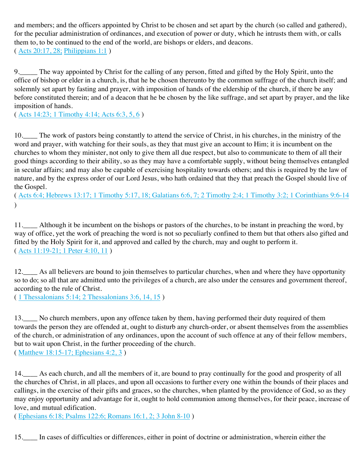and members; and the officers appointed by Christ to be chosen and set apart by the church (so called and gathered), for the peculiar administration of ordinances, and execution of power or duty, which he intrusts them with, or calls them to, to be continued to the end of the world, are bishops or elders, and deacons. ( [Acts 20:17, 28;](http://www.gospelcom.net/bible?language=English&version=NASB&passage=Acts+20:17-28) [Philippians 1:1](http://www.gospelcom.net/bible?language=English&version=NASB&passage=Philippians+1:1) )

9.\_\_\_\_\_ The way appointed by Christ for the calling of any person, fitted and gifted by the Holy Spirit, unto the office of bishop or elder in a church, is, that he be chosen thereunto by the common suffrage of the church itself; and solemnly set apart by fasting and prayer, with imposition of hands of the eldership of the church, if there be any before constituted therein; and of a deacon that he be chosen by the like suffrage, and set apart by prayer, and the like imposition of hands.

( [Acts 14:23;](http://www.gospelcom.net/bible?language=English&version=NASB&passage=Acts+14:23) [1 Timothy 4:14;](http://www.gospelcom.net/bible?language=English&version=NASB&passage=1Timothy+4:14) [Acts 6:3, 5, 6](http://www.gospelcom.net/bible?language=English&version=NASB&passage=Acts+6:3-6) )

10.\_\_\_\_ The work of pastors being constantly to attend the service of Christ, in his churches, in the ministry of the word and prayer, with watching for their souls, as they that must give an account to Him; it is incumbent on the churches to whom they minister, not only to give them all due respect, but also to communicate to them of all their good things according to their ability, so as they may have a comfortable supply, without being themselves entangled in secular affairs; and may also be capable of exercising hospitality towards others; and this is required by the law of nature, and by the express order of our Lord Jesus, who hath ordained that they that preach the Gospel should live of the Gospel.

( [Acts 6:4;](http://www.gospelcom.net/bible?language=English&version=NASB&passage=Acts+6:4) [Hebrews 13:17;](http://www.gospelcom.net/bible?language=English&version=NASB&passage=Hebrews+13:17) [1 Timothy 5:17, 18;](http://www.gospelcom.net/bible?language=English&version=NASB&passage=1Timothy+5:17-18) [Galatians 6:6, 7;](http://www.gospelcom.net/bible?language=English&version=NASB&passage=Galatians+6:6-7) [2 Timothy 2:4;](http://www.gospelcom.net/bible?language=English&version=NASB&passage=2Timothy+2:4) [1 Timothy 3:2;](http://www.gospelcom.net/bible?language=English&version=NASB&passage=1Timothy+3:2) [1 Corinthians 9:6-14](http://www.gospelcom.net/bible?language=English&version=NASB&passage=1Corinthians+9:6-14)  $\overline{)}$ 

11.\_\_\_\_ Although it be incumbent on the bishops or pastors of the churches, to be instant in preaching the word, by way of office, yet the work of preaching the word is not so peculiarly confined to them but that others also gifted and fitted by the Holy Spirit for it, and approved and called by the church, may and ought to perform it. ( [Acts 11:19-21;](http://www.gospelcom.net/bible?language=English&version=NASB&passage=Acts+11:19-21) [1 Peter 4:10, 11](http://www.gospelcom.net/bible?language=English&version=NASB&passage=1Peter+4:10-11) )

12.\_\_\_\_ As all believers are bound to join themselves to particular churches, when and where they have opportunity so to do; so all that are admitted unto the privileges of a church, are also under the censures and government thereof, according to the rule of Christ.

( [1 Thessalonians 5:14;](http://www.gospelcom.net/bible?language=English&version=NASB&passage=1Thessalonians+5:14) [2 Thessalonians 3:6, 14, 15](http://www.gospelcom.net/bible?language=English&version=NASB&passage=2Thessalonians+3:6-15) )

13.\_\_\_\_ No church members, upon any offence taken by them, having performed their duty required of them towards the person they are offended at, ought to disturb any church-order, or absent themselves from the assemblies of the church, or administration of any ordinances, upon the account of such offence at any of their fellow members, but to wait upon Christ, in the further proceeding of the church. ( [Matthew 18:15-17;](http://www.gospelcom.net/bible?language=English&version=NASB&passage=Matthew+18:15-17) [Ephesians 4:2, 3](http://www.gospelcom.net/bible?language=English&version=NASB&passage=Ephesians+4:2-3) )

14.\_\_\_\_ As each church, and all the members of it, are bound to pray continually for the good and prosperity of all the churches of Christ, in all places, and upon all occasions to further every one within the bounds of their places and callings, in the exercise of their gifts and graces, so the churches, when planted by the providence of God, so as they may enjoy opportunity and advantage for it, ought to hold communion among themselves, for their peace, increase of love, and mutual edification.

( [Ephesians 6:18;](http://www.gospelcom.net/bible?language=English&version=NASB&passage=Ephesians+6:18) [Psalms 122:6;](http://www.gospelcom.net/bible?language=English&version=NASB&passage=Psalms+122:6) [Romans 16:1, 2;](http://www.gospelcom.net/bible?language=English&version=NASB&passage=Romans+16:1-2) [3 John 8-10](http://www.gospelcom.net/bible?language=English&version=NASB&passage=3John+8-10) )

15.\_\_\_\_ In cases of difficulties or differences, either in point of doctrine or administration, wherein either the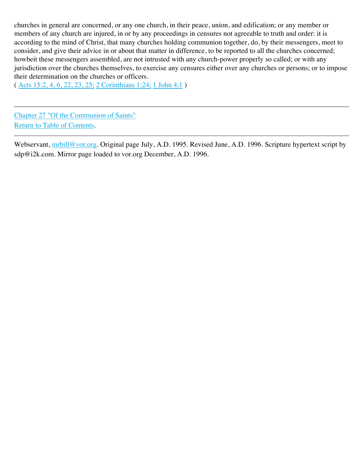churches in general are concerned, or any one church, in their peace, union, and edification; or any member or members of any church are injured, in or by any proceedings in censures not agreeable to truth and order: it is according to the mind of Christ, that many churches holding communion together, do, by their messengers, meet to consider, and give their advice in or about that matter in difference, to be reported to all the churches concerned; howbeit these messengers assembled, are not intrusted with any church-power properly so called; or with any jurisdiction over the churches themselves, to exercise any censures either over any churches or persons; or to impose their determination on the churches or officers.

( [Acts 15:2, 4, 6, 22, 23, 25;](http://www.gospelcom.net/bible?language=English&version=NASB&passage=Acts+15:2-25) [2 Corinthians 1:24;](http://www.gospelcom.net/bible?language=English&version=NASB&passage=2Corinthians+1:24) [1 John 4:1](http://www.gospelcom.net/bible?language=English&version=NASB&passage=1John+4:1) )

[Chapter 27 "Of the Communion of Saints"](#page-37-0) [Return to Table of Contents.](#page-0-0)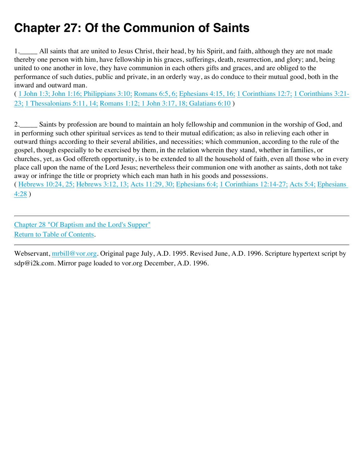# <span id="page-37-0"></span>**Chapter 27: Of the Communion of Saints**

1.\_\_\_\_\_ All saints that are united to Jesus Christ, their head, by his Spirit, and faith, although they are not made thereby one person with him, have fellowship in his graces, sufferings, death, resurrection, and glory; and, being united to one another in love, they have communion in each others gifts and graces, and are obliged to the performance of such duties, public and private, in an orderly way, as do conduce to their mutual good, both in the inward and outward man.

( [1 John 1:3;](http://www.gospelcom.net/bible?language=English&version=NASB&passage=1John+1:3) [John 1:16;](http://www.gospelcom.net/bible?language=English&version=NASB&passage=John+1:16) [Philippians 3:10;](http://www.gospelcom.net/bible?language=English&version=NASB&passage=Philippians+3:10) [Romans 6:5, 6;](http://www.gospelcom.net/bible?language=English&version=NASB&passage=Romans+6:5-6) [Ephesians 4:15, 16;](http://www.gospelcom.net/bible?language=English&version=NASB&passage=Ephesians+4:15-16) [1 Corinthians 12:7;](http://www.gospelcom.net/bible?language=English&version=NASB&passage=1Corinthians+12:7) [1 Corinthians 3:21-](http://www.gospelcom.net/bible?language=English&version=NASB&passage=1Corinthians+3:21-23) [23;](http://www.gospelcom.net/bible?language=English&version=NASB&passage=1Corinthians+3:21-23) [1 Thessalonians 5:11, 14;](http://www.gospelcom.net/bible?language=English&version=NASB&passage=1Thessalonians+5:11-14) [Romans 1:12;](http://www.gospelcom.net/bible?language=English&version=NASB&passage=Romans+1:12) [1 John 3:17, 18;](http://www.gospelcom.net/bible?language=English&version=NASB&passage=1John+3:17-18) [Galatians 6:10](http://www.gospelcom.net/bible?language=English&version=NASB&passage=Galatians+6:10) )

2. Saints by profession are bound to maintain an holy fellowship and communion in the worship of God, and in performing such other spiritual services as tend to their mutual edification; as also in relieving each other in outward things according to their several abilities, and necessities; which communion, according to the rule of the gospel, though especially to be exercised by them, in the relation wherein they stand, whether in families, or churches, yet, as God offereth opportunity, is to be extended to all the household of faith, even all those who in every place call upon the name of the Lord Jesus; nevertheless their communion one with another as saints, doth not take away or infringe the title or propriety which each man hath in his goods and possessions. ( [Hebrews 10:24, 25;](http://www.gospelcom.net/bible?language=English&version=NASB&passage=Hebrews+10:24-25) [Hebrews 3:12, 13;](http://www.gospelcom.net/bible?language=English&version=NASB&passage=Hebrews+3:12-13) [Acts 11:29, 30;](http://www.gospelcom.net/bible?language=English&version=NASB&passage=Acts+11:29-30) [Ephesians 6:4;](http://www.gospelcom.net/bible?language=English&version=NASB&passage=Ephesians+6:4) [1 Corinthians 12:14-27;](http://www.gospelcom.net/bible?language=English&version=NASB&passage=1Corinthians+12:14-27) [Acts 5:4;](http://www.gospelcom.net/bible?language=English&version=NASB&passage=Acts+5:4) [Ephesians](http://www.gospelcom.net/bible?language=English&version=NASB&passage=Ephesians+4:28)  [4:28](http://www.gospelcom.net/bible?language=English&version=NASB&passage=Ephesians+4:28) )

```
Chapter 28 "Of Baptism and the Lord's Supper"
Return to Table of Contents.
```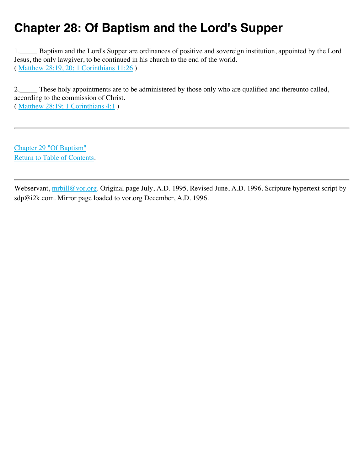## <span id="page-38-0"></span>**Chapter 28: Of Baptism and the Lord's Supper**

1.\_\_\_\_\_ Baptism and the Lord's Supper are ordinances of positive and sovereign institution, appointed by the Lord Jesus, the only lawgiver, to be continued in his church to the end of the world. ( [Matthew 28:19, 20;](http://www.gospelcom.net/bible?language=English&version=NASB&passage=Matthew+28:19-20) [1 Corinthians 11:26](http://www.gospelcom.net/bible?language=English&version=NASB&passage=1Corinthians+11:26) )

2.\_\_\_\_\_ These holy appointments are to be administered by those only who are qualified and thereunto called, according to the commission of Christ. ( [Matthew 28:19;](http://www.gospelcom.net/bible?language=English&version=NASB&passage=Matthew+28:19) [1 Corinthians 4:1](http://www.gospelcom.net/bible?language=English&version=NASB&passage=1Corinthians+4:1) )

[Chapter 29 "Of Baptism"](#page-39-0) [Return to Table of Contents.](#page-0-0)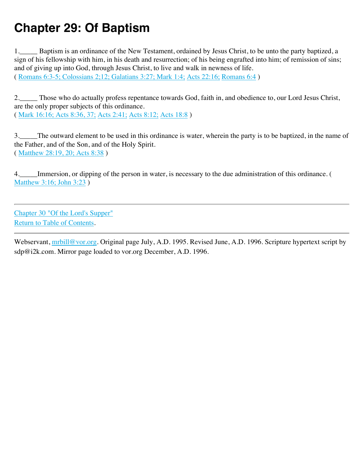# <span id="page-39-0"></span>**Chapter 29: Of Baptism**

1.\_\_\_\_\_ Baptism is an ordinance of the New Testament, ordained by Jesus Christ, to be unto the party baptized, a sign of his fellowship with him, in his death and resurrection; of his being engrafted into him; of remission of sins; and of giving up into God, through Jesus Christ, to live and walk in newness of life. ( [Romans 6:3-5;](http://www.gospelcom.net/bible?language=English&version=NASB&passage=Romans+6:3-5) [Colossians 2;12;](http://www.gospelcom.net/bible?language=English&version=NASB&passage=Colossians+2;12) [Galatians 3:27;](http://www.gospelcom.net/bible?language=English&version=NASB&passage=Galatians+3:27) [Mark 1:4;](http://www.gospelcom.net/bible?language=English&version=NASB&passage=Mark+1:4) [Acts 22:16;](http://www.gospelcom.net/bible?language=English&version=NASB&passage=Acts+22:16) [Romans 6:4](http://www.gospelcom.net/bible?language=English&version=NASB&passage=Romans+6:4) )

2.\_\_\_\_\_ Those who do actually profess repentance towards God, faith in, and obedience to, our Lord Jesus Christ, are the only proper subjects of this ordinance. ( [Mark 16:16;](http://www.gospelcom.net/bible?language=English&version=NASB&passage=Mark+16:16) [Acts 8:36, 37;](http://www.gospelcom.net/bible?language=English&version=NASB&passage=Acts+8:36-37) [Acts 2:41;](http://www.gospelcom.net/language=English&version=NASB&passage=bible?Acts+2:41) [Acts 8:12;](http://www.gospelcom.net/bible?language=English&version=NASB&passage=Acts+8:12) [Acts 18:8](http://www.gospelcom.net/bible?language=English&version=NASB&passage=Acts+18:8) )

3.\_\_\_\_\_The outward element to be used in this ordinance is water, wherein the party is to be baptized, in the name of the Father, and of the Son, and of the Holy Spirit. ( [Matthew 28:19, 20;](http://www.gospelcom.net/bible?language=English&version=NASB&passage=Matthew+28:19-20) [Acts 8:38](http://www.gospelcom.net/bible?language=English&version=NASB&passage=Acts+8:38) )

4.\_\_\_\_\_Immersion, or dipping of the person in water, is necessary to the due administration of this ordinance. ( [Matthew 3:16;](http://www.gospelcom.net/bible?language=English&version=NASB&passage=Matthew+3:16) [John 3:23](http://www.gospelcom.net/bible?language=English&version=NASB&passage=John+3:23) )

[Chapter 30 "Of the Lord's Supper"](#page-40-0) [Return to Table of Contents.](#page-0-0)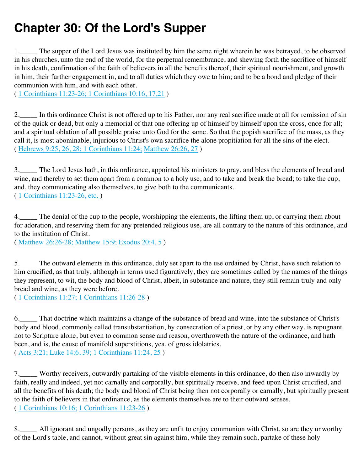# <span id="page-40-0"></span>**Chapter 30: Of the Lord's Supper**

1.\_\_\_\_\_ The supper of the Lord Jesus was instituted by him the same night wherein he was betrayed, to be observed in his churches, unto the end of the world, for the perpetual remembrance, and shewing forth the sacrifice of himself in his death, confirmation of the faith of believers in all the benefits thereof, their spiritual nourishment, and growth in him, their further engagement in, and to all duties which they owe to him; and to be a bond and pledge of their communion with him, and with each other.

( [1 Corinthians 11:23-26;](http://www.gospelcom.net/bible?language=English&version=NASB&passage=1Corinthians+11:23-26) [1 Corinthians 10:16, 17,21](http://www.gospelcom.net/bible?language=English&version=NASB&passage=1Corinthians+10:16-21) )

2.\_\_\_\_ In this ordinance Christ is not offered up to his Father, nor any real sacrifice made at all for remission of sin of the quick or dead, but only a memorial of that one offering up of himself by himself upon the cross, once for all; and a spiritual oblation of all possible praise unto God for the same. So that the popish sacrifice of the mass, as they call it, is most abominable, injurious to Christ's own sacrifice the alone propitiation for all the sins of the elect. ( [Hebrews 9:25, 26, 28;](http://www.gospelcom.net/bible?language=English&version=NASB&passage=Hebrews+9:25-28) [1 Corinthians 11:24;](http://www.gospelcom.net/bible?language=English&version=NASB&passage=1Corinthians+11:24) [Matthew 26:26, 27](http://www.gospelcom.net/bible?language=English&version=NASB&passage=Matthew+26:26-27) )

3.\_\_\_\_\_ The Lord Jesus hath, in this ordinance, appointed his ministers to pray, and bless the elements of bread and wine, and thereby to set them apart from a common to a holy use, and to take and break the bread; to take the cup, and, they communicating also themselves, to give both to the communicants. ( [1 Corinthians 11:23-26, etc.](http://www.gospelcom.net/bible?language=English&version=NASB&passage=1Corinthians+11:23-30) )

4.\_\_\_\_\_ The denial of the cup to the people, worshipping the elements, the lifting them up, or carrying them about for adoration, and reserving them for any pretended religious use, are all contrary to the nature of this ordinance, and to the institution of Christ.

( [Matthew 26:26-28;](http://www.gospelcom.net/bible?language=English&version=NASB&passage=Matthew+26:26-28) [Matthew 15:9;](http://www.gospelcom.net/bible?language=English&version=NASB&passage=Matthew+15:9) [Exodus 20:4, 5](http://www.gospelcom.net/bible?language=English&version=NASB&passage=Exodus+20:4-5) )

5.\_\_\_\_\_ The outward elements in this ordinance, duly set apart to the use ordained by Christ, have such relation to him crucified, as that truly, although in terms used figuratively, they are sometimes called by the names of the things they represent, to wit, the body and blood of Christ, albeit, in substance and nature, they still remain truly and only bread and wine, as they were before.

( [1 Corinthians 11:27;](http://www.gospelcom.net/bible?language=English&version=NASB&passage=1Corinthians+11:27) [1 Corinthians 11:26-28](http://www.gospelcom.net/bible?language=English&version=NASB&passage=1Corinthians+11:26-28) )

6.\_\_\_\_\_ That doctrine which maintains a change of the substance of bread and wine, into the substance of Christ's body and blood, commonly called transubstantiation, by consecration of a priest, or by any other way, is repugnant not to Scripture alone, but even to common sense and reason, overthroweth the nature of the ordinance, and hath been, and is, the cause of manifold superstitions, yea, of gross idolatries. ( [Acts 3:21;](http://www.gospelcom.net/bible?language=English&version=NASB&passage=Acts+3:21) [Luke 14:6, 39;](http://www.gospelcom.net/bible?language=English&version=NASB&passage=Luke+14:6-39) [1 Corinthians 11:24, 25](http://www.gospelcom.net/bible?language=English&version=NASB&passage=1Corinthians+11:24-25) )

7.\_\_\_\_\_ Worthy receivers, outwardly partaking of the visible elements in this ordinance, do then also inwardly by faith, really and indeed, yet not carnally and corporally, but spiritually receive, and feed upon Christ crucified, and all the benefits of his death; the body and blood of Christ being then not corporally or carnally, but spiritually present to the faith of believers in that ordinance, as the elements themselves are to their outward senses. ( [1 Corinthians 10:16;](http://www.gospelcom.net/bible?language=English&version=NASB&passage=1Corinthians+10:16) [1 Corinthians 11:23-26](http://www.gospelcom.net/bible?language=English&version=NASB&passage=1Corinthians+11:23-26) )

8.\_\_\_\_\_ All ignorant and ungodly persons, as they are unfit to enjoy communion with Christ, so are they unworthy of the Lord's table, and cannot, without great sin against him, while they remain such, partake of these holy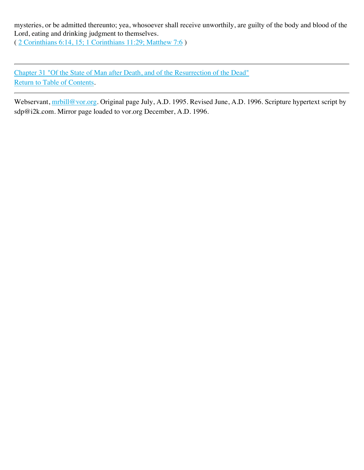mysteries, or be admitted thereunto; yea, whosoever shall receive unworthily, are guilty of the body and blood of the Lord, eating and drinking judgment to themselves. ( [2 Corinthians 6:14, 15;](http://www.gospelcom.net/bible?language=English&version=NASB&passage=2Corinthians+6:14-15) [1 Corinthians 11:29;](http://www.gospelcom.net/bible?language=English&version=NASB&passage=1Corinthians+11:29) [Matthew 7:6](http://www.gospelcom.net/bible?language=English&version=NASB&passage=Matthew+7:6) )

[Chapter 31 "Of the State of Man after Death, and of the Resurrection of the Dead"](#page-42-0) [Return to Table of Contents.](#page-0-0)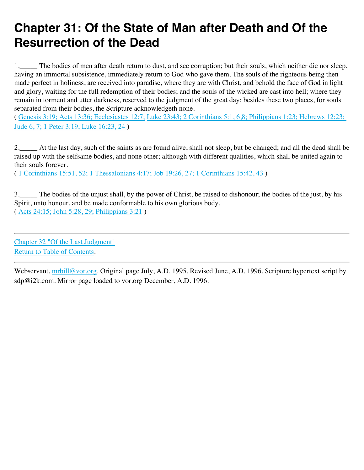#### <span id="page-42-0"></span>**Chapter 31: Of the State of Man after Death and Of the Resurrection of the Dead**

1. The bodies of men after death return to dust, and see corruption; but their souls, which neither die nor sleep, having an immortal subsistence, immediately return to God who gave them. The souls of the righteous being then made perfect in holiness, are received into paradise, where they are with Christ, and behold the face of God in light and glory, waiting for the full redemption of their bodies; and the souls of the wicked are cast into hell; where they remain in torment and utter darkness, reserved to the judgment of the great day; besides these two places, for souls separated from their bodies, the Scripture acknowledgeth none.

( [Genesis 3:19;](http://www.gospelcom.net/bible?language=English&version=NASB&passage=Genesis+3:19) [Acts 13:36;](http://www.gospelcom.net/language=English&version=NASB&passage=bible?Acts+13:36) [Ecclesiastes 12:7;](http://www.gospelcom.net/bible?language=English&version=NASB&passage=Ecclesiastes+12:7) [Luke 23:43;](http://www.gospelcom.net/bible?language=English&version=NASB&passage=Luke+23:43) [2 Corinthians 5:1, 6,8;](http://www.gospelcom.net/bible?language=English&version=NASB&passage=2Corinthians+5:1-8) [Philippians 1:23;](http://www.gospelcom.net/bible?language=English&version=NASB&passage=Philippians+1:23) [Hebrews 12:23;](http://www.gospelcom.net/bible?language=English&version=NASB&passage=Hebrews+12:23)  [Jude 6, 7;](http://www.gospelcom.net/bible?language=English&version=NASB&passage=Jude+6-7) [1 Peter 3:19;](http://www.gospelcom.net/bible?language=English&version=NASB&passage=1Peter+3:19) [Luke 16:23, 24](http://www.gospelcom.net/bible?language=English&version=NASB&passage=Luke+16:23-24) )

2.\_\_\_\_\_ At the last day, such of the saints as are found alive, shall not sleep, but be changed; and all the dead shall be raised up with the selfsame bodies, and none other; although with different qualities, which shall be united again to their souls forever.

( [1 Corinthians 15:51, 52;](http://www.gospelcom.net/bible?language=English&version=NASB&passage=1Corinthians+15:51-52) [1 Thessalonians 4:17;](http://www.gospelcom.net/bible?language=English&version=NASB&passage=1Thessalonians+4:17) [Job 19:26, 27;](http://www.gospelcom.net/bible?language=English&version=NASB&passage=Job+19:26-27) [1 Corinthians 15:42, 43](http://www.gospelcom.net/bible?language=English&version=NASB&passage=1Corinthians+15:42-43) )

3.\_\_\_\_\_ The bodies of the unjust shall, by the power of Christ, be raised to dishonour; the bodies of the just, by his Spirit, unto honour, and be made conformable to his own glorious body. ( [Acts 24:15;](http://www.gospelcom.net/bible?language=English&version=NASB&passage=Acts+24:15) [John 5:28, 29;](http://www.gospelcom.net/bible?language=English&version=NASB&passage=John+5:28-29) [Philippians 3:21](http://www.gospelcom.net/bible?language=English&version=NASB&passage=Philippians+3:21) )

[Chapter 32 "Of the Last Judgment"](#page-43-0) [Return to Table of Contents.](#page-0-0)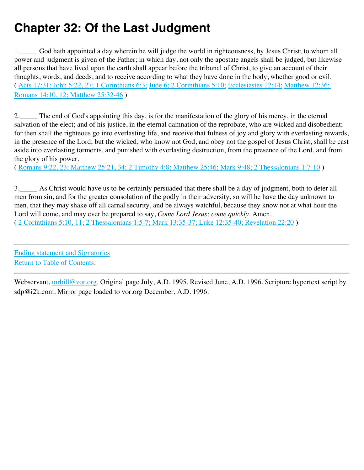## <span id="page-43-0"></span>**Chapter 32: Of the Last Judgment**

1. God hath appointed a day wherein he will judge the world in righteousness, by Jesus Christ; to whom all power and judgment is given of the Father; in which day, not only the apostate angels shall be judged, but likewise all persons that have lived upon the earth shall appear before the tribunal of Christ, to give an account of their thoughts, words, and deeds, and to receive according to what they have done in the body, whether good or evil. ( [Acts 17:31;](http://www.gospelcom.net/bible?language=English&version=NASB&passage=Acts+17:31) [John 5:22, 27;](http://www.gospelcom.net/bible?language=English&version=NASB&passage=John+5:22-27) [1 Corinthians 6:3;](http://www.gospelcom.net/bible?language=English&version=NASB&passage=1Corinthians+6:3) [Jude 6;](http://www.gospelcom.net/bible?language=English&version=NASB&passage=Jude+6) [2 Corinthians 5:10;](http://www.gospelcom.net/bible?language=English&version=NASB&passage=2Corinthians+5:10) [Ecclesiastes 12:14;](http://www.gospelcom.net/bible?language=English&version=NASB&passage=Ecclesiastes+12:14) [Matthew 12:36;](http://www.gospelcom.net/bible?language=English&version=NASB&passage=Matthew+12:36)  [Romans 14:10, 12;](http://www.gospelcom.net/bible?language=English&version=NASB&passage=Romans+14:10-12) [Matthew 25:32-46](http://www.gospelcom.net/bible?language=English&version=NASB&passage=Matthew+25:32-46) )

2. The end of God's appointing this day, is for the manifestation of the glory of his mercy, in the eternal salvation of the elect; and of his justice, in the eternal damnation of the reprobate, who are wicked and disobedient; for then shall the righteous go into everlasting life, and receive that fulness of joy and glory with everlasting rewards, in the presence of the Lord; but the wicked, who know not God, and obey not the gospel of Jesus Christ, shall be cast aside into everlasting torments, and punished with everlasting destruction, from the presence of the Lord, and from the glory of his power.

( [Romans 9:22, 23;](http://www.gospelcom.net/bible?language=English&version=NASB&passage=Romans+9:22-23) [Matthew 25:21, 34;](http://www.gospelcom.net/bible?language=English&version=NASB&passage=Matthew+25:21-34) [2 Timothy 4:8;](http://www.gospelcom.net/bible?language=English&version=NASB&passage=2Timothy+4:8) [Matthew 25:46;](http://www.gospelcom.net/bible?language=English&version=NASB&passage=Matthew+25:46) [Mark 9:48;](http://www.gospelcom.net/bible?language=English&version=NASB&passage=Mark+9:48) [2 Thessalonians 1:7-10](http://www.gospelcom.net/bible?language=English&version=NASB&passage=2Thessalonians+1:7-10) )

3.\_\_\_\_\_ As Christ would have us to be certainly persuaded that there shall be a day of judgment, both to deter all men from sin, and for the greater consolation of the godly in their adversity, so will he have the day unknown to men, that they may shake off all carnal security, and be always watchful, because they know not at what hour the Lord will come, and may ever be prepared to say, *Come Lord Jesus; come quickly*. Amen. ( [2 Corinthians 5:10, 11;](http://www.gospelcom.net/bible?language=English&version=NASB&passage=2Corinthians+5:10-11) [2 Thessalonians 1:5-7;](http://www.gospelcom.net/bible?language=English&version=NASB&passage=2Thessalonians+1:5-7) [Mark 13:35-37;](http://www.gospelcom.net/bible?language=English&version=NASB&passage=Mark+13:35-37) [Luke 12:35-40;](http://www.gospelcom.net/bible?language=English&version=NASB&passage=Luke+12:35-40) [Revelation 22:20](http://www.gospelcom.net/bible?language=English&version=NASB&passage=Revelation+22:20) )

[Ending statement and Signatories](#page-44-0) [Return to Table of Contents.](#page-0-0)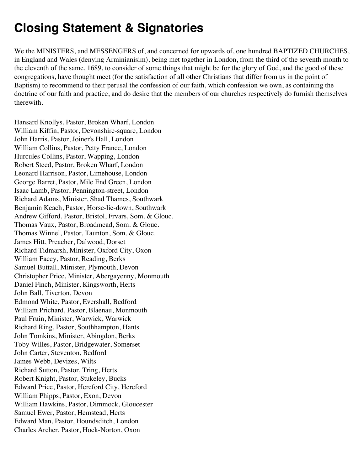#### <span id="page-44-0"></span>**Closing Statement & Signatories**

We the MINISTERS, and MESSENGERS of, and concerned for upwards of, one hundred BAPTIZED CHURCHES, in England and Wales (denying Arminianisim), being met together in London, from the third of the seventh month to the eleventh of the same, 1689, to consider of some things that might be for the glory of God, and the good of these congregations, have thought meet (for the satisfaction of all other Christians that differ from us in the point of Baptism) to recommend to their perusal the confession of our faith, which confession we own, as containing the doctrine of our faith and practice, and do desire that the members of our churches respectively do furnish themselves therewith.

Hansard Knollys, Pastor, Broken Wharf, London William Kiffin, Pastor, Devonshire-square, London John Harris, Pastor, Joiner's Hall, London William Collins, Pastor, Petty France, London Hurcules Collins, Pastor, Wapping, London Robert Steed, Pastor, Broken Wharf, London Leonard Harrison, Pastor, Limehouse, London George Barret, Pastor, Mile End Green, London Isaac Lamb, Pastor, Pennington-street, London Richard Adams, Minister, Shad Thames, Southwark Benjamin Keach, Pastor, Horse-lie-down, Southwark Andrew Gifford, Pastor, Bristol, Frvars, Som. & Glouc. Thomas Vaux, Pastor, Broadmead, Som. & Glouc. Thomas Winnel, Pastor, Taunton, Som. & Glouc. James Hitt, Preacher, Dalwood, Dorset Richard Tidmarsh, Minister, Oxford City, Oxon William Facey, Pastor, Reading, Berks Samuel Buttall, Minister, Plymouth, Devon Christopher Price, Minister, Abergayenny, Monmouth Daniel Finch, Minister, Kingsworth, Herts John Ball, Tiverton, Devon Edmond White, Pastor, Evershall, Bedford William Prichard, Pastor, Blaenau, Monmouth Paul Fruin, Minister, Warwick, Warwick Richard Ring, Pastor, Southhampton, Hants John Tomkins, Minister, Abingdon, Berks Toby Willes, Pastor, Bridgewater, Somerset John Carter, Steventon, Bedford James Webb, Devizes, Wilts Richard Sutton, Pastor, Tring, Herts Robert Knight, Pastor, Stukeley, Bucks Edward Price, Pastor, Hereford City, Hereford William Phipps, Pastor, Exon, Devon William Hawkins, Pastor, Dimmock, Gloucester Samuel Ewer, Pastor, Hemstead, Herts Edward Man, Pastor, Houndsditch, London Charles Archer, Pastor, Hock-Norton, Oxon